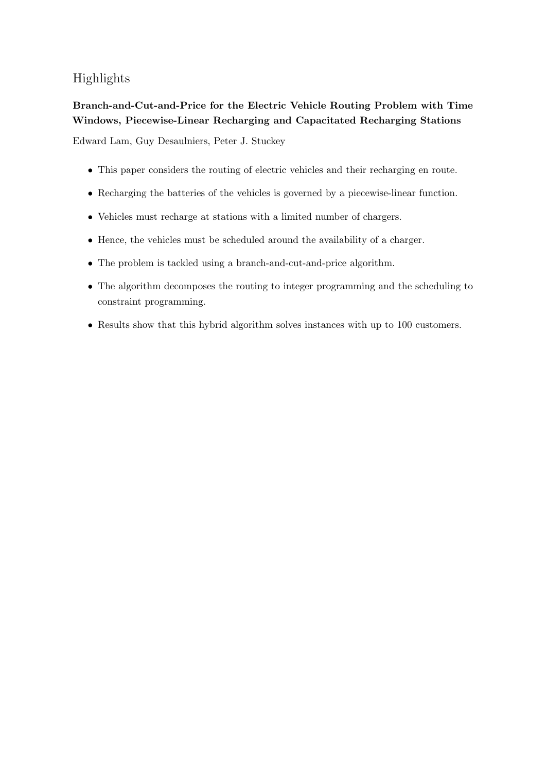# Highlights

# Branch-and-Cut-and-Price for the Electric Vehicle Routing Problem with Time Windows, Piecewise-Linear Recharging and Capacitated Recharging Stations

Edward Lam, Guy Desaulniers, Peter J. Stuckey

- This paper considers the routing of electric vehicles and their recharging en route.
- Recharging the batteries of the vehicles is governed by a piecewise-linear function.
- Vehicles must recharge at stations with a limited number of chargers.
- Hence, the vehicles must be scheduled around the availability of a charger.
- The problem is tackled using a branch-and-cut-and-price algorithm.
- The algorithm decomposes the routing to integer programming and the scheduling to constraint programming.
- Results show that this hybrid algorithm solves instances with up to 100 customers.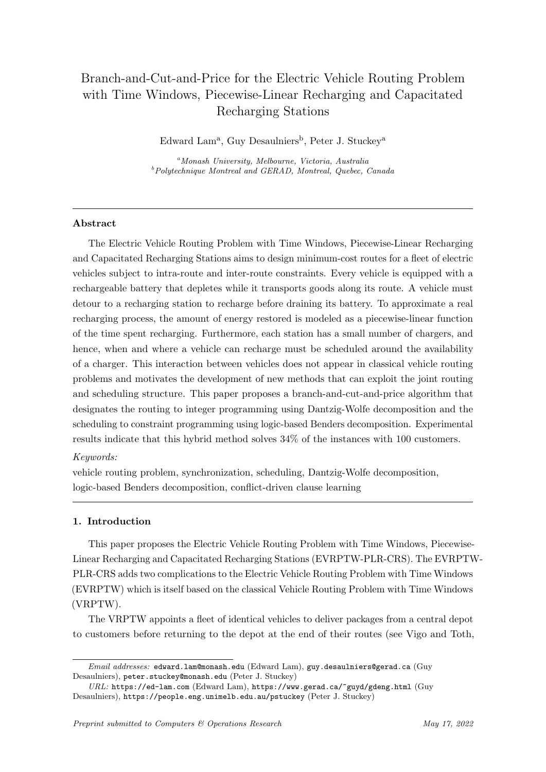# Branch-and-Cut-and-Price for the Electric Vehicle Routing Problem with Time Windows, Piecewise-Linear Recharging and Capacitated Recharging Stations

Edward Lam<sup>a</sup>, Guy Desaulniers<sup>b</sup>, Peter J. Stuckey<sup>a</sup>

<sup>a</sup>Monash University, Melbourne, Victoria, Australia  $b$ Polytechnique Montreal and GERAD, Montreal, Quebec, Canada

# Abstract

The Electric Vehicle Routing Problem with Time Windows, Piecewise-Linear Recharging and Capacitated Recharging Stations aims to design minimum-cost routes for a fleet of electric vehicles subject to intra-route and inter-route constraints. Every vehicle is equipped with a rechargeable battery that depletes while it transports goods along its route. A vehicle must detour to a recharging station to recharge before draining its battery. To approximate a real recharging process, the amount of energy restored is modeled as a piecewise-linear function of the time spent recharging. Furthermore, each station has a small number of chargers, and hence, when and where a vehicle can recharge must be scheduled around the availability of a charger. This interaction between vehicles does not appear in classical vehicle routing problems and motivates the development of new methods that can exploit the joint routing and scheduling structure. This paper proposes a branch-and-cut-and-price algorithm that designates the routing to integer programming using Dantzig-Wolfe decomposition and the scheduling to constraint programming using logic-based Benders decomposition. Experimental results indicate that this hybrid method solves 34% of the instances with 100 customers.

# Keywords:

vehicle routing problem, synchronization, scheduling, Dantzig-Wolfe decomposition, logic-based Benders decomposition, conflict-driven clause learning

# 1. Introduction

This paper proposes the Electric Vehicle Routing Problem with Time Windows, Piecewise-Linear Recharging and Capacitated Recharging Stations (EVRPTW-PLR-CRS). The EVRPTW-PLR-CRS adds two complications to the Electric Vehicle Routing Problem with Time Windows (EVRPTW) which is itself based on the classical Vehicle Routing Problem with Time Windows (VRPTW).

The VRPTW appoints a fleet of identical vehicles to deliver packages from a central depot to customers before returning to the depot at the end of their routes (see [Vigo and Toth,](#page-38-0)

Email addresses: edward.lam@monash.edu (Edward Lam), guy.desaulniers@gerad.ca (Guy Desaulniers), peter.stuckey@monash.edu (Peter J. Stuckey)

URL: https://ed-lam.com (Edward Lam), https://www.gerad.ca/~guyd/gdeng.html (Guy Desaulniers), https://people.eng.unimelb.edu.au/pstuckey (Peter J. Stuckey)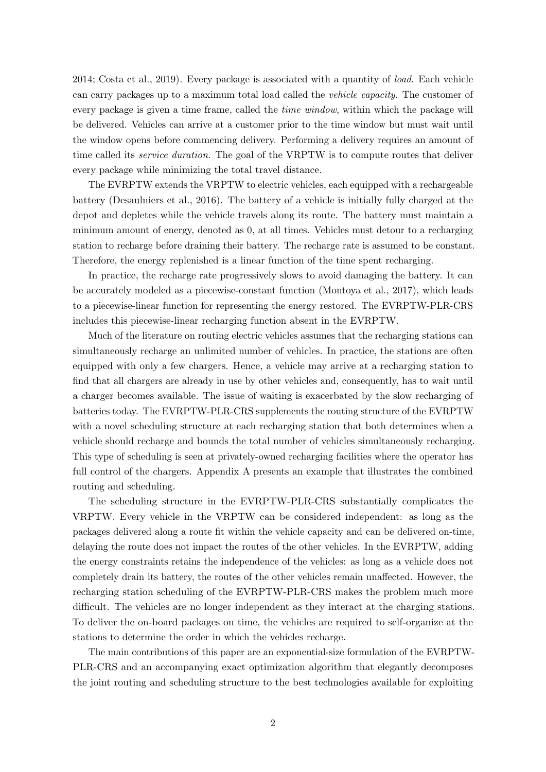[2014;](#page-38-0) [Costa et al., 2019\)](#page-36-0). Every package is associated with a quantity of load. Each vehicle can carry packages up to a maximum total load called the vehicle capacity. The customer of every package is given a time frame, called the *time window*, within which the package will be delivered. Vehicles can arrive at a customer prior to the time window but must wait until the window opens before commencing delivery. Performing a delivery requires an amount of time called its *service duration*. The goal of the VRPTW is to compute routes that deliver every package while minimizing the total travel distance.

The EVRPTW extends the VRPTW to electric vehicles, each equipped with a rechargeable battery [\(Desaulniers et al., 2016\)](#page-36-1). The battery of a vehicle is initially fully charged at the depot and depletes while the vehicle travels along its route. The battery must maintain a minimum amount of energy, denoted as 0, at all times. Vehicles must detour to a recharging station to recharge before draining their battery. The recharge rate is assumed to be constant. Therefore, the energy replenished is a linear function of the time spent recharging.

In practice, the recharge rate progressively slows to avoid damaging the battery. It can be accurately modeled as a piecewise-constant function [\(Montoya et al., 2017\)](#page-38-1), which leads to a piecewise-linear function for representing the energy restored. The EVRPTW-PLR-CRS includes this piecewise-linear recharging function absent in the EVRPTW.

Much of the literature on routing electric vehicles assumes that the recharging stations can simultaneously recharge an unlimited number of vehicles. In practice, the stations are often equipped with only a few chargers. Hence, a vehicle may arrive at a recharging station to find that all chargers are already in use by other vehicles and, consequently, has to wait until a charger becomes available. The issue of waiting is exacerbated by the slow recharging of batteries today. The EVRPTW-PLR-CRS supplements the routing structure of the EVRPTW with a novel scheduling structure at each recharging station that both determines when a vehicle should recharge and bounds the total number of vehicles simultaneously recharging. This type of scheduling is seen at privately-owned recharging facilities where the operator has full control of the chargers. [Appendix A](#page-33-0) presents an example that illustrates the combined routing and scheduling.

The scheduling structure in the EVRPTW-PLR-CRS substantially complicates the VRPTW. Every vehicle in the VRPTW can be considered independent: as long as the packages delivered along a route fit within the vehicle capacity and can be delivered on-time, delaying the route does not impact the routes of the other vehicles. In the EVRPTW, adding the energy constraints retains the independence of the vehicles: as long as a vehicle does not completely drain its battery, the routes of the other vehicles remain unaffected. However, the recharging station scheduling of the EVRPTW-PLR-CRS makes the problem much more difficult. The vehicles are no longer independent as they interact at the charging stations. To deliver the on-board packages on time, the vehicles are required to self-organize at the stations to determine the order in which the vehicles recharge.

The main contributions of this paper are an exponential-size formulation of the EVRPTW-PLR-CRS and an accompanying exact optimization algorithm that elegantly decomposes the joint routing and scheduling structure to the best technologies available for exploiting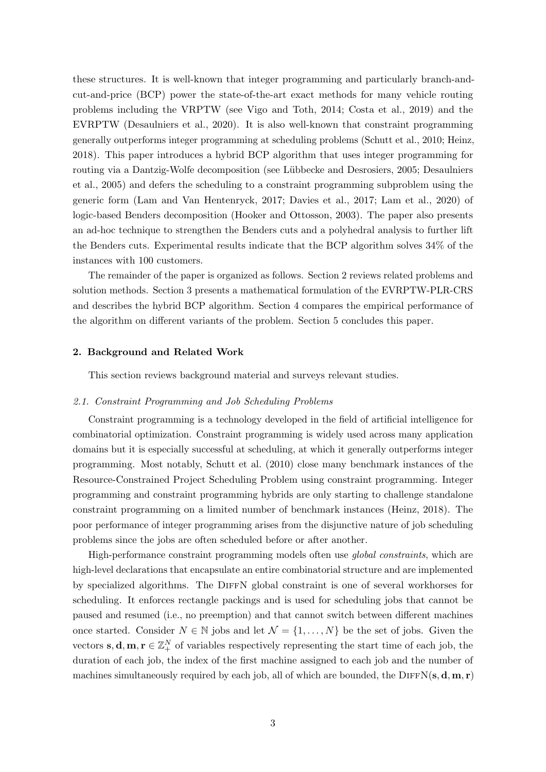these structures. It is well-known that integer programming and particularly branch-andcut-and-price (BCP) power the state-of-the-art exact methods for many vehicle routing problems including the VRPTW (see [Vigo and Toth, 2014;](#page-38-0) [Costa et al., 2019\)](#page-36-0) and the EVRPTW [\(Desaulniers et al., 2020\)](#page-36-2). It is also well-known that constraint programming generally outperforms integer programming at scheduling problems [\(Schutt et al., 2010;](#page-38-2) [Heinz,](#page-37-0) [2018\)](#page-37-0). This paper introduces a hybrid BCP algorithm that uses integer programming for routing via a Dantzig-Wolfe decomposition (see Lübbecke and Desrosiers, 2005; [Desaulniers](#page-36-3) [et al., 2005\)](#page-36-3) and defers the scheduling to a constraint programming subproblem using the generic form [\(Lam and Van Hentenryck, 2017;](#page-38-4) [Davies et al., 2017;](#page-36-4) [Lam et al., 2020\)](#page-37-1) of logic-based Benders decomposition [\(Hooker and Ottosson, 2003\)](#page-37-2). The paper also presents an ad-hoc technique to strengthen the Benders cuts and a polyhedral analysis to further lift the Benders cuts. Experimental results indicate that the BCP algorithm solves 34% of the instances with 100 customers.

The remainder of the paper is organized as follows. [Section 2](#page-3-0) reviews related problems and solution methods. [Section 3](#page-7-0) presents a mathematical formulation of the EVRPTW-PLR-CRS and describes the hybrid BCP algorithm. [Section 4](#page-27-0) compares the empirical performance of the algorithm on different variants of the problem. [Section 5](#page-32-0) concludes this paper.

## <span id="page-3-0"></span>2. Background and Related Work

This section reviews background material and surveys relevant studies.

# 2.1. Constraint Programming and Job Scheduling Problems

Constraint programming is a technology developed in the field of artificial intelligence for combinatorial optimization. Constraint programming is widely used across many application domains but it is especially successful at scheduling, at which it generally outperforms integer programming. Most notably, [Schutt et al.](#page-38-2) [\(2010\)](#page-38-2) close many benchmark instances of the Resource-Constrained Project Scheduling Problem using constraint programming. Integer programming and constraint programming hybrids are only starting to challenge standalone constraint programming on a limited number of benchmark instances [\(Heinz, 2018\)](#page-37-0). The poor performance of integer programming arises from the disjunctive nature of job scheduling problems since the jobs are often scheduled before or after another.

High-performance constraint programming models often use global constraints, which are high-level declarations that encapsulate an entire combinatorial structure and are implemented by specialized algorithms. The DIFFN global constraint is one of several workhorses for scheduling. It enforces rectangle packings and is used for scheduling jobs that cannot be paused and resumed (i.e., no preemption) and that cannot switch between different machines once started. Consider  $N \in \mathbb{N}$  jobs and let  $\mathcal{N} = \{1, ..., N\}$  be the set of jobs. Given the vectors **s**, **d**, **m**, **r**  $\in \mathbb{Z}_+^N$  of variables respectively representing the start time of each job, the duration of each job, the index of the first machine assigned to each job and the number of machines simultaneously required by each job, all of which are bounded, the DIFFN(s, d, m, r)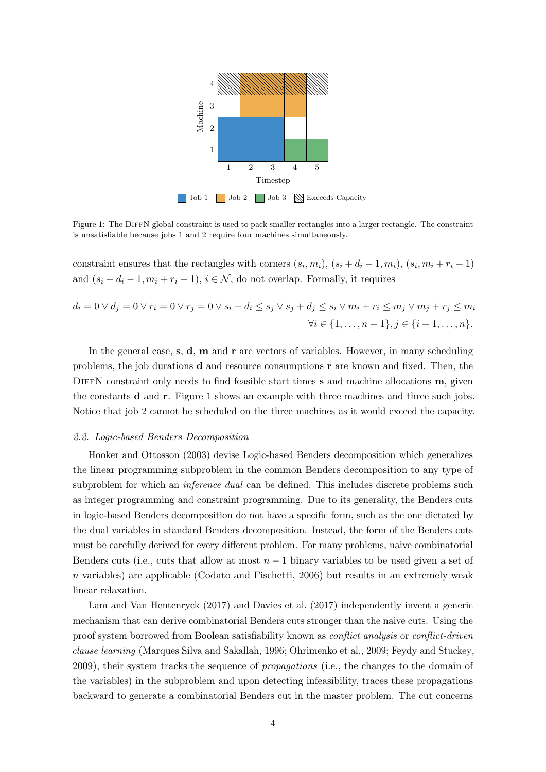<span id="page-4-0"></span>

Figure 1: The DIFFN global constraint is used to pack smaller rectangles into a larger rectangle. The constraint is unsatisfiable because jobs 1 and 2 require four machines simultaneously.

constraint ensures that the rectangles with corners  $(s_i, m_i)$ ,  $(s_i + d_i - 1, m_i)$ ,  $(s_i, m_i + r_i - 1)$ and  $(s_i + d_i - 1, m_i + r_i - 1), i \in \mathcal{N}$ , do not overlap. Formally, it requires

$$
d_i = 0 \lor d_j = 0 \lor r_i = 0 \lor r_j = 0 \lor s_i + d_i \leq s_j \lor s_j + d_j \leq s_i \lor m_i + r_i \leq m_j \lor m_j + r_j \leq m_i
$$
  

$$
\forall i \in \{1, ..., n-1\}, j \in \{i+1, ..., n\}.
$$

In the general case,  $s, d, m$  and  $r$  are vectors of variables. However, in many scheduling problems, the job durations  $\bf d$  and resource consumptions  $\bf r$  are known and fixed. Then, the DIFFN constraint only needs to find feasible start times  $s$  and machine allocations  $m$ , given the constants d and r. [Figure 1](#page-4-0) shows an example with three machines and three such jobs. Notice that job 2 cannot be scheduled on the three machines as it would exceed the capacity.

## 2.2. Logic-based Benders Decomposition

[Hooker and Ottosson](#page-37-2) [\(2003\)](#page-37-2) devise Logic-based Benders decomposition which generalizes the linear programming subproblem in the common Benders decomposition to any type of subproblem for which an *inference dual* can be defined. This includes discrete problems such as integer programming and constraint programming. Due to its generality, the Benders cuts in logic-based Benders decomposition do not have a specific form, such as the one dictated by the dual variables in standard Benders decomposition. Instead, the form of the Benders cuts must be carefully derived for every different problem. For many problems, naive combinatorial Benders cuts (i.e., cuts that allow at most  $n-1$  binary variables to be used given a set of  $n$  variables) are applicable [\(Codato and Fischetti, 2006\)](#page-36-5) but results in an extremely weak linear relaxation.

[Lam and Van Hentenryck](#page-38-4) [\(2017\)](#page-38-4) and [Davies et al.](#page-36-4) [\(2017\)](#page-36-4) independently invent a generic mechanism that can derive combinatorial Benders cuts stronger than the naive cuts. Using the proof system borrowed from Boolean satisfiability known as *conflict analysis* or *conflict-driven* clause learning [\(Marques Silva and Sakallah, 1996;](#page-38-5) [Ohrimenko et al., 2009;](#page-38-6) [Feydy and Stuckey,](#page-36-6) [2009\)](#page-36-6), their system tracks the sequence of propagations (i.e., the changes to the domain of the variables) in the subproblem and upon detecting infeasibility, traces these propagations backward to generate a combinatorial Benders cut in the master problem. The cut concerns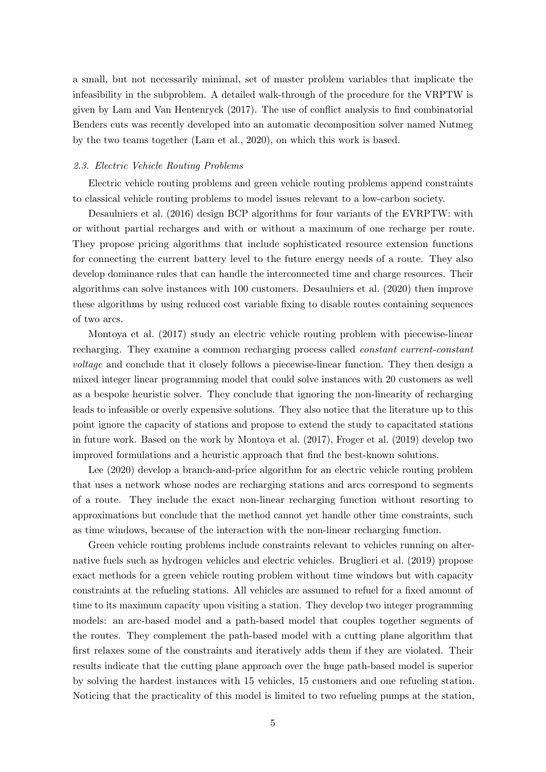a small, but not necessarily minimal, set of master problem variables that implicate the infeasibility in the subproblem. A detailed walk-through of the procedure for the VRPTW is given by [Lam and Van Hentenryck](#page-38-4) [\(2017\)](#page-38-4). The use of conflict analysis to find combinatorial Benders cuts was recently developed into an automatic decomposition solver named Nutmeg by the two teams together [\(Lam et al., 2020\)](#page-37-1), on which this work is based.

## 2.3. Electric Vehicle Routing Problems

Electric vehicle routing problems and green vehicle routing problems append constraints to classical vehicle routing problems to model issues relevant to a low-carbon society.

[Desaulniers et al.](#page-36-1) [\(2016\)](#page-36-1) design BCP algorithms for four variants of the EVRPTW: with or without partial recharges and with or without a maximum of one recharge per route. They propose pricing algorithms that include sophisticated resource extension functions for connecting the current battery level to the future energy needs of a route. They also develop dominance rules that can handle the interconnected time and charge resources. Their algorithms can solve instances with 100 customers. [Desaulniers et al.](#page-36-2) [\(2020\)](#page-36-2) then improve these algorithms by using reduced cost variable fixing to disable routes containing sequences of two arcs.

[Montoya et al.](#page-38-1) [\(2017\)](#page-38-1) study an electric vehicle routing problem with piecewise-linear recharging. They examine a common recharging process called constant current-constant voltage and conclude that it closely follows a piecewise-linear function. They then design a mixed integer linear programming model that could solve instances with 20 customers as well as a bespoke heuristic solver. They conclude that ignoring the non-linearity of recharging leads to infeasible or overly expensive solutions. They also notice that the literature up to this point ignore the capacity of stations and propose to extend the study to capacitated stations in future work. Based on the work by [Montoya et al.](#page-38-1) [\(2017\)](#page-38-1), [Froger et al.](#page-36-7) [\(2019\)](#page-36-7) develop two improved formulations and a heuristic approach that find the best-known solutions.

[Lee](#page-38-7) [\(2020\)](#page-38-7) develop a branch-and-price algorithm for an electric vehicle routing problem that uses a network whose nodes are recharging stations and arcs correspond to segments of a route. They include the exact non-linear recharging function without resorting to approximations but conclude that the method cannot yet handle other time constraints, such as time windows, because of the interaction with the non-linear recharging function.

Green vehicle routing problems include constraints relevant to vehicles running on alternative fuels such as hydrogen vehicles and electric vehicles. [Bruglieri et al.](#page-36-8) [\(2019\)](#page-36-8) propose exact methods for a green vehicle routing problem without time windows but with capacity constraints at the refueling stations. All vehicles are assumed to refuel for a fixed amount of time to its maximum capacity upon visiting a station. They develop two integer programming models: an arc-based model and a path-based model that couples together segments of the routes. They complement the path-based model with a cutting plane algorithm that first relaxes some of the constraints and iteratively adds them if they are violated. Their results indicate that the cutting plane approach over the huge path-based model is superior by solving the hardest instances with 15 vehicles, 15 customers and one refueling station. Noticing that the practicality of this model is limited to two refueling pumps at the station,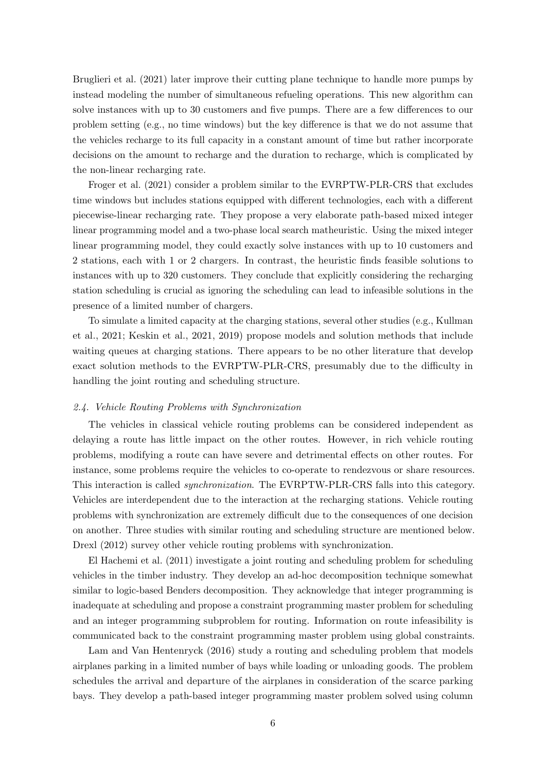[Bruglieri et al.](#page-36-9) [\(2021\)](#page-36-9) later improve their cutting plane technique to handle more pumps by instead modeling the number of simultaneous refueling operations. This new algorithm can solve instances with up to 30 customers and five pumps. There are a few differences to our problem setting (e.g., no time windows) but the key difference is that we do not assume that the vehicles recharge to its full capacity in a constant amount of time but rather incorporate decisions on the amount to recharge and the duration to recharge, which is complicated by the non-linear recharging rate.

[Froger et al.](#page-36-10) [\(2021\)](#page-36-10) consider a problem similar to the EVRPTW-PLR-CRS that excludes time windows but includes stations equipped with different technologies, each with a different piecewise-linear recharging rate. They propose a very elaborate path-based mixed integer linear programming model and a two-phase local search matheuristic. Using the mixed integer linear programming model, they could exactly solve instances with up to 10 customers and 2 stations, each with 1 or 2 chargers. In contrast, the heuristic finds feasible solutions to instances with up to 320 customers. They conclude that explicitly considering the recharging station scheduling is crucial as ignoring the scheduling can lead to infeasible solutions in the presence of a limited number of chargers.

To simulate a limited capacity at the charging stations, several other studies (e.g., [Kullman](#page-37-3) [et al., 2021;](#page-37-3) [Keskin et al., 2021,](#page-37-4) [2019\)](#page-37-5) propose models and solution methods that include waiting queues at charging stations. There appears to be no other literature that develop exact solution methods to the EVRPTW-PLR-CRS, presumably due to the difficulty in handling the joint routing and scheduling structure.

# 2.4. Vehicle Routing Problems with Synchronization

The vehicles in classical vehicle routing problems can be considered independent as delaying a route has little impact on the other routes. However, in rich vehicle routing problems, modifying a route can have severe and detrimental effects on other routes. For instance, some problems require the vehicles to co-operate to rendezvous or share resources. This interaction is called synchronization. The EVRPTW-PLR-CRS falls into this category. Vehicles are interdependent due to the interaction at the recharging stations. Vehicle routing problems with synchronization are extremely difficult due to the consequences of one decision on another. Three studies with similar routing and scheduling structure are mentioned below. [Drexl](#page-36-11) [\(2012\)](#page-36-11) survey other vehicle routing problems with synchronization.

[El Hachemi et al.](#page-36-12) [\(2011\)](#page-36-12) investigate a joint routing and scheduling problem for scheduling vehicles in the timber industry. They develop an ad-hoc decomposition technique somewhat similar to logic-based Benders decomposition. They acknowledge that integer programming is inadequate at scheduling and propose a constraint programming master problem for scheduling and an integer programming subproblem for routing. Information on route infeasibility is communicated back to the constraint programming master problem using global constraints.

[Lam and Van Hentenryck](#page-37-6) [\(2016\)](#page-37-6) study a routing and scheduling problem that models airplanes parking in a limited number of bays while loading or unloading goods. The problem schedules the arrival and departure of the airplanes in consideration of the scarce parking bays. They develop a path-based integer programming master problem solved using column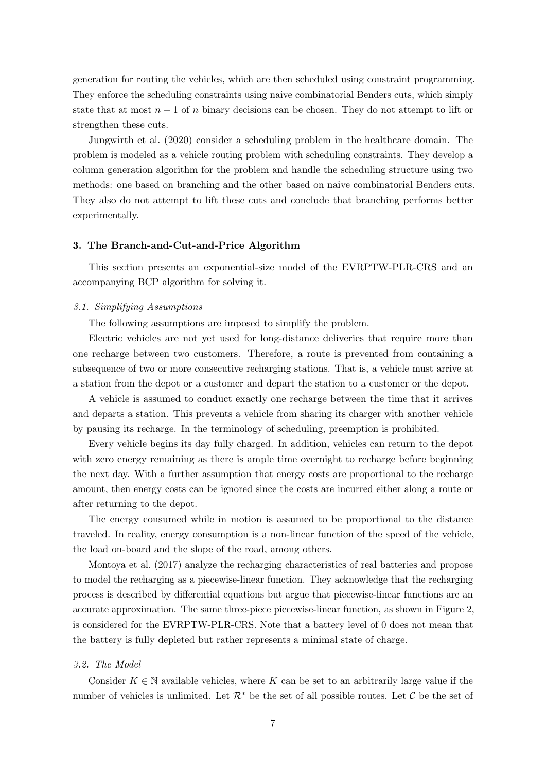generation for routing the vehicles, which are then scheduled using constraint programming. They enforce the scheduling constraints using naive combinatorial Benders cuts, which simply state that at most  $n-1$  of n binary decisions can be chosen. They do not attempt to lift or strengthen these cuts.

[Jungwirth et al.](#page-37-7) [\(2020\)](#page-37-7) consider a scheduling problem in the healthcare domain. The problem is modeled as a vehicle routing problem with scheduling constraints. They develop a column generation algorithm for the problem and handle the scheduling structure using two methods: one based on branching and the other based on naive combinatorial Benders cuts. They also do not attempt to lift these cuts and conclude that branching performs better experimentally.

# <span id="page-7-0"></span>3. The Branch-and-Cut-and-Price Algorithm

This section presents an exponential-size model of the EVRPTW-PLR-CRS and an accompanying BCP algorithm for solving it.

# <span id="page-7-1"></span>3.1. Simplifying Assumptions

The following assumptions are imposed to simplify the problem.

Electric vehicles are not yet used for long-distance deliveries that require more than one recharge between two customers. Therefore, a route is prevented from containing a subsequence of two or more consecutive recharging stations. That is, a vehicle must arrive at a station from the depot or a customer and depart the station to a customer or the depot.

A vehicle is assumed to conduct exactly one recharge between the time that it arrives and departs a station. This prevents a vehicle from sharing its charger with another vehicle by pausing its recharge. In the terminology of scheduling, preemption is prohibited.

Every vehicle begins its day fully charged. In addition, vehicles can return to the depot with zero energy remaining as there is ample time overnight to recharge before beginning the next day. With a further assumption that energy costs are proportional to the recharge amount, then energy costs can be ignored since the costs are incurred either along a route or after returning to the depot.

The energy consumed while in motion is assumed to be proportional to the distance traveled. In reality, energy consumption is a non-linear function of the speed of the vehicle, the load on-board and the slope of the road, among others.

[Montoya et al.](#page-38-1) [\(2017\)](#page-38-1) analyze the recharging characteristics of real batteries and propose to model the recharging as a piecewise-linear function. They acknowledge that the recharging process is described by differential equations but argue that piecewise-linear functions are an accurate approximation. The same three-piece piecewise-linear function, as shown in [Figure 2,](#page-8-0) is considered for the EVRPTW-PLR-CRS. Note that a battery level of 0 does not mean that the battery is fully depleted but rather represents a minimal state of charge.

## 3.2. The Model

Consider  $K \in \mathbb{N}$  available vehicles, where K can be set to an arbitrarily large value if the number of vehicles is unlimited. Let  $\mathcal{R}^*$  be the set of all possible routes. Let C be the set of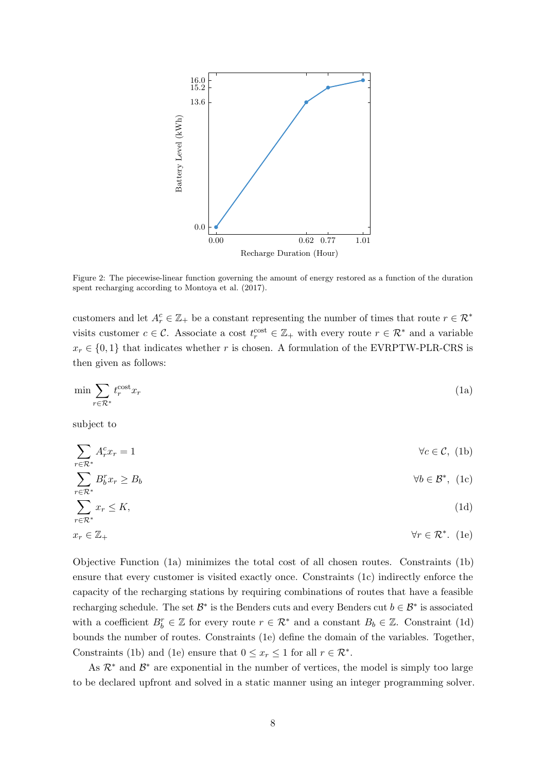<span id="page-8-0"></span>

Figure 2: The piecewise-linear function governing the amount of energy restored as a function of the duration spent recharging according to [Montoya et al.](#page-38-1) [\(2017\)](#page-38-1).

customers and let  $A_r^c \in \mathbb{Z}_+$  be a constant representing the number of times that route  $r \in \mathbb{R}^*$ visits customer  $c \in \mathcal{C}$ . Associate a cost  $t_r^{\text{cost}} \in \mathbb{Z}_+$  with every route  $r \in \mathcal{R}^*$  and a variable  $x_r \in \{0,1\}$  that indicates whether r is chosen. A formulation of the EVRPTW-PLR-CRS is then given as follows:

<span id="page-8-1"></span>
$$
\min \sum_{r \in \mathcal{R}^*} t_r^{\text{cost}} x_r \tag{1a}
$$

subject to

<span id="page-8-5"></span>r∈R<sup>∗</sup>

$$
\sum_{r \in \mathcal{R}^*} A_r^c x_r = 1 \qquad \forall c \in \mathcal{C}, (1b)
$$

<span id="page-8-4"></span><span id="page-8-3"></span><span id="page-8-2"></span>
$$
\sum B_b^r x_r \ge B_b \qquad \qquad \forall b \in \mathcal{B}^*, \text{ (1c)}
$$

$$
\sum_{r \in \mathcal{R}^*} x_r \le K,\tag{1d}
$$

$$
x_r \in \mathbb{Z}_+ \qquad \qquad \forall r \in \mathcal{R}^* . \tag{1e}
$$

[Objective Function \(1a\)](#page-8-1) minimizes the total cost of all chosen routes. [Constraints \(1b\)](#page-8-2) ensure that every customer is visited exactly once. [Constraints \(1c\)](#page-8-3) indirectly enforce the capacity of the recharging stations by requiring combinations of routes that have a feasible recharging schedule. The set  $\mathcal{B}^*$  is the Benders cuts and every Benders cut  $b \in \mathcal{B}^*$  is associated with a coefficient  $B_b^r \in \mathbb{Z}$  for every route  $r \in \mathcal{R}^*$  and a constant  $B_b \in \mathbb{Z}$ . [Constraint \(1d\)](#page-8-4) bounds the number of routes. [Constraints \(1e\)](#page-8-5) define the domain of the variables. Together, [Constraints \(1b\)](#page-8-2) and [\(1e\)](#page-8-5) ensure that  $0 \leq x_r \leq 1$  for all  $r \in \mathcal{R}^*$ .

As  $\mathcal{R}^*$  and  $\mathcal{B}^*$  are exponential in the number of vertices, the model is simply too large to be declared upfront and solved in a static manner using an integer programming solver.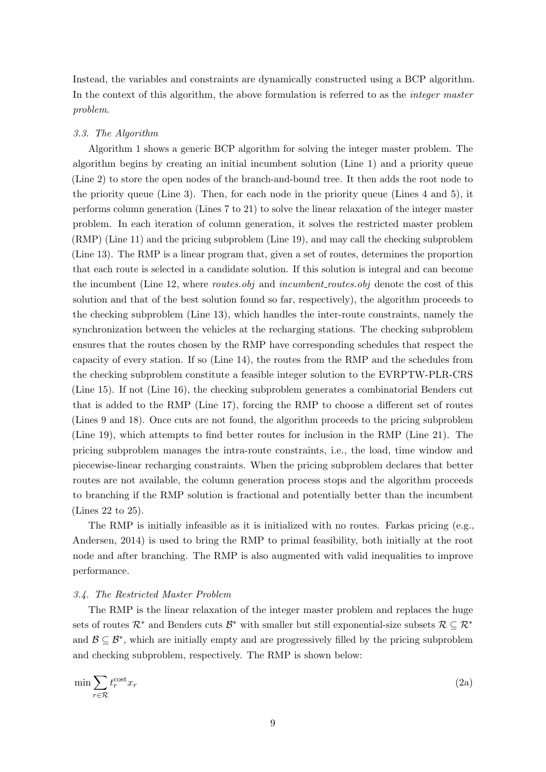Instead, the variables and constraints are dynamically constructed using a BCP algorithm. In the context of this algorithm, the above formulation is referred to as the *integer master* problem.

# 3.3. The Algorithm

[Algorithm 1](#page-10-0) shows a generic BCP algorithm for solving the integer master problem. The algorithm begins by creating an initial incumbent solution [\(Line 1\)](#page-10-1) and a priority queue [\(Line 2\)](#page-10-2) to store the open nodes of the branch-and-bound tree. It then adds the root node to the priority queue [\(Line 3\)](#page-10-3). Then, for each node in the priority queue [\(Lines 4](#page-10-4) and [5\)](#page-10-5), it performs column generation [\(Lines 7](#page-10-6) to [21\)](#page-10-7) to solve the linear relaxation of the integer master problem. In each iteration of column generation, it solves the restricted master problem (RMP) [\(Line 11\)](#page-10-8) and the pricing subproblem [\(Line 19\)](#page-10-9), and may call the checking subproblem [\(Line 13\)](#page-10-10). The RMP is a linear program that, given a set of routes, determines the proportion that each route is selected in a candidate solution. If this solution is integral and can become the incumbent [\(Line 12,](#page-10-11) where *routes.obj* and *incumbent routes.obj* denote the cost of this solution and that of the best solution found so far, respectively), the algorithm proceeds to the checking subproblem [\(Line 13\)](#page-10-10), which handles the inter-route constraints, namely the synchronization between the vehicles at the recharging stations. The checking subproblem ensures that the routes chosen by the RMP have corresponding schedules that respect the capacity of every station. If so [\(Line 14\)](#page-10-12), the routes from the RMP and the schedules from the checking subproblem constitute a feasible integer solution to the EVRPTW-PLR-CRS [\(Line 15\)](#page-10-13). If not [\(Line 16\)](#page-10-14), the checking subproblem generates a combinatorial Benders cut that is added to the RMP [\(Line 17\)](#page-10-15), forcing the RMP to choose a different set of routes [\(Lines 9](#page-10-16) and [18\)](#page-10-17). Once cuts are not found, the algorithm proceeds to the pricing subproblem [\(Line 19\)](#page-10-9), which attempts to find better routes for inclusion in the RMP [\(Line 21\)](#page-10-7). The pricing subproblem manages the intra-route constraints, i.e., the load, time window and piecewise-linear recharging constraints. When the pricing subproblem declares that better routes are not available, the column generation process stops and the algorithm proceeds to branching if the RMP solution is fractional and potentially better than the incumbent [\(Lines 22](#page-10-18) to [25\)](#page-10-19).

The RMP is initially infeasible as it is initialized with no routes. Farkas pricing (e.g., [Andersen, 2014\)](#page-35-0) is used to bring the RMP to primal feasibility, both initially at the root node and after branching. The RMP is also augmented with valid inequalities to improve performance.

## 3.4. The Restricted Master Problem

The RMP is the linear relaxation of the integer master problem and replaces the huge sets of routes  $\mathcal{R}^*$  and Benders cuts  $\mathcal{B}^*$  with smaller but still exponential-size subsets  $\mathcal{R} \subseteq \mathcal{R}^*$ and  $\mathcal{B} \subseteq \mathcal{B}^*$ , which are initially empty and are progressively filled by the pricing subproblem and checking subproblem, respectively. The RMP is shown below:

<span id="page-9-0"></span>
$$
\min \sum_{r \in \mathcal{R}} t_r^{\text{cost}} x_r \tag{2a}
$$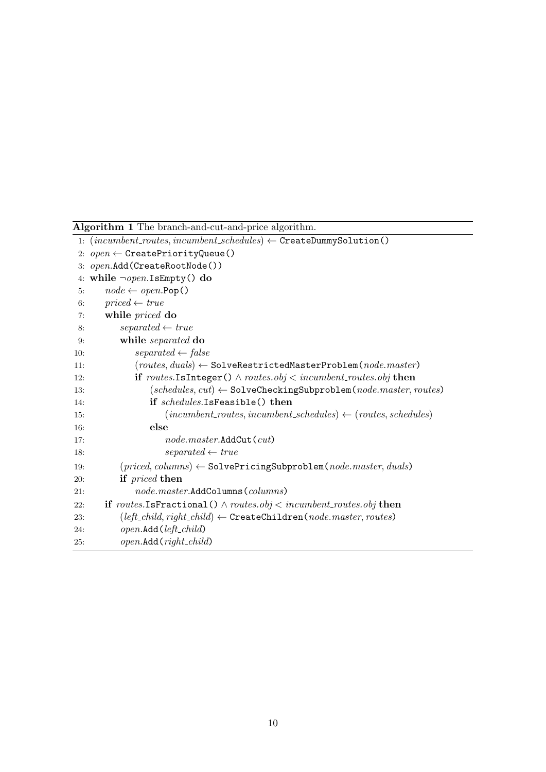<span id="page-10-0"></span>

| Algorithm 1 The branch-and-cut-and-price algorithm. |
|-----------------------------------------------------|
|-----------------------------------------------------|

<span id="page-10-25"></span><span id="page-10-24"></span><span id="page-10-23"></span><span id="page-10-22"></span><span id="page-10-21"></span><span id="page-10-20"></span><span id="page-10-19"></span><span id="page-10-18"></span><span id="page-10-17"></span><span id="page-10-16"></span><span id="page-10-15"></span><span id="page-10-14"></span><span id="page-10-13"></span><span id="page-10-12"></span><span id="page-10-11"></span><span id="page-10-10"></span><span id="page-10-9"></span><span id="page-10-8"></span><span id="page-10-7"></span><span id="page-10-6"></span><span id="page-10-5"></span><span id="page-10-4"></span><span id="page-10-3"></span><span id="page-10-2"></span><span id="page-10-1"></span>

|     | 1: $(incumbent_r routes, incumbent_schedules) \leftarrow \texttt{CreateDummySolution}()$                       |
|-----|----------------------------------------------------------------------------------------------------------------|
|     | 2: $open \leftarrow$ CreatePriorityQueue()                                                                     |
|     | 3: open.Add(CreateRootNode())                                                                                  |
|     | 4: while $\neg open \text{.}$ Is Empty() do                                                                    |
| 5:  | $node \leftarrow open.pop()$                                                                                   |
| 6:  | $priced \leftarrow true$                                                                                       |
| 7:  | while priced do                                                                                                |
| 8:  | $separated \leftarrow true$                                                                                    |
| 9:  | while separated do                                                                                             |
| 10: | $separated \leftarrow false$                                                                                   |
| 11: | $(\textit{routers}, \textit{duals}) \leftarrow$ SolveRestrictedMasterProblem $(\textit{node}.\textit{master})$ |
| 12: | if routes. Is Integer () $\land$ routes. obj $\lt$ incumbent_routes. obj then                                  |
| 13: | $(schedules, cut) \leftarrow$ SolveCheckingSubproblem $(node.master, routes)$                                  |
| 14: | if schedules.IsFeasible() then                                                                                 |
| 15: | $(incumbent_r routes, incumbent_schedules) \leftarrow (routers, schedules)$                                    |
| 16: | else                                                                                                           |
| 17: | $node.master.\text{AddCut}(cut)$                                                                               |
| 18: | $separated \leftarrow true$                                                                                    |
| 19: | $(pried, columns) \leftarrow \texttt{SolvePricingSubproblem}(node.master, duals)$                              |
| 20: | if priced then                                                                                                 |
| 21: | $node.master.\text{AddColumns}(columns)$                                                                       |
| 22: | <b>if</b> routes.IsFractional() $\land$ routes.obj $\lt$ incumbent_routes.obj then                             |
| 23: | $(left\_child, right\_child) \leftarrow \texttt{CreateChildren}(node.master, routes)$                          |
| 24: | $open.\text{Add}(\text{left\_child})$                                                                          |
| 25: | $open.\text{Add}(right\_child)$                                                                                |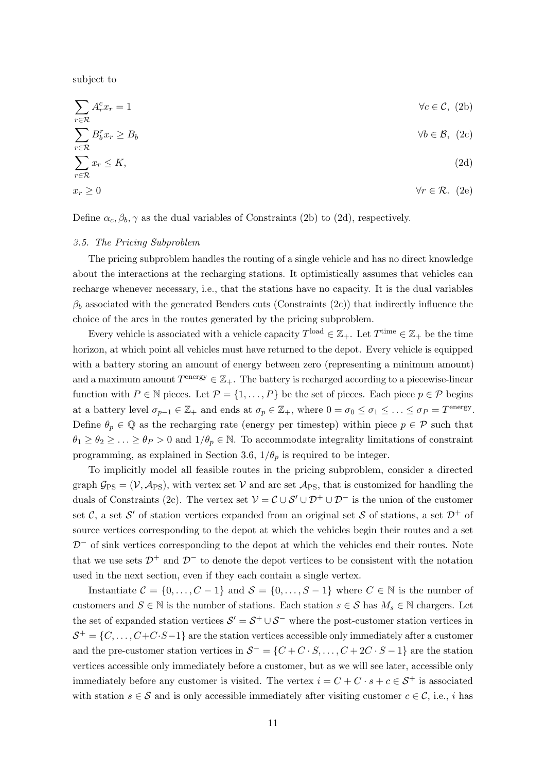subject to

<span id="page-11-2"></span><span id="page-11-1"></span><span id="page-11-0"></span>
$$
\sum_{r \in \mathcal{R}} A_r^c x_r = 1 \qquad \forall c \in \mathcal{C}, (2b)
$$
\n
$$
\sum_{r \in \mathcal{R}} B_b^r x_r \ge B_b \qquad \forall b \in \mathcal{B}, (2c)
$$
\n
$$
\sum_{r \in \mathcal{R}} x_r \le K, \qquad (2d)
$$

<span id="page-11-3"></span>
$$
x_r \ge 0 \qquad \forall r \in \mathcal{R}. \tag{2e}
$$

Define  $\alpha_c, \beta_b, \gamma$  as the dual variables of [Constraints \(2b\)](#page-11-0) to [\(2d\)](#page-11-1), respectively.

## <span id="page-11-4"></span>3.5. The Pricing Subproblem

The pricing subproblem handles the routing of a single vehicle and has no direct knowledge about the interactions at the recharging stations. It optimistically assumes that vehicles can recharge whenever necessary, i.e., that the stations have no capacity. It is the dual variables  $\beta_b$  associated with the generated Benders cuts [\(Constraints \(2c\)\)](#page-11-2) that indirectly influence the choice of the arcs in the routes generated by the pricing subproblem.

Every vehicle is associated with a vehicle capacity  $T^{\text{load}} \in \mathbb{Z}_+$ . Let  $T^{\text{time}} \in \mathbb{Z}_+$  be the time horizon, at which point all vehicles must have returned to the depot. Every vehicle is equipped with a battery storing an amount of energy between zero (representing a minimum amount) and a maximum amount  $T^{\text{energy}} \in \mathbb{Z}_+$ . The battery is recharged according to a piecewise-linear function with  $P \in \mathbb{N}$  pieces. Let  $\mathcal{P} = \{1, \ldots, P\}$  be the set of pieces. Each piece  $p \in \mathcal{P}$  begins at a battery level  $\sigma_{p-1} \in \mathbb{Z}_+$  and ends at  $\sigma_p \in \mathbb{Z}_+$ , where  $0 = \sigma_0 \leq \sigma_1 \leq \ldots \leq \sigma_P = T^{\text{energy}}$ . Define  $\theta_p \in \mathbb{Q}$  as the recharging rate (energy per timestep) within piece  $p \in \mathcal{P}$  such that  $\theta_1 \geq \theta_2 \geq \ldots \geq \theta_P > 0$  and  $1/\theta_p \in \mathbb{N}$ . To accommodate integrality limitations of constraint programming, as explained in [Section 3.6,](#page-18-0)  $1/\theta_p$  is required to be integer.

To implicitly model all feasible routes in the pricing subproblem, consider a directed graph  $\mathcal{G}_{PS} = (\mathcal{V}, \mathcal{A}_{PS})$ , with vertex set  $\mathcal{V}$  and arc set  $\mathcal{A}_{PS}$ , that is customized for handling the duals of [Constraints \(2c\).](#page-11-2) The vertex set  $V = C \cup S' \cup D^+ \cup D^-$  is the union of the customer set C, a set S' of station vertices expanded from an original set S of stations, a set  $\mathcal{D}^+$  of source vertices corresponding to the depot at which the vehicles begin their routes and a set  $D<sup>-</sup>$  of sink vertices corresponding to the depot at which the vehicles end their routes. Note that we use sets  $\mathcal{D}^+$  and  $\mathcal{D}^-$  to denote the depot vertices to be consistent with the notation used in the next section, even if they each contain a single vertex.

Instantiate  $C = \{0, \ldots, C - 1\}$  and  $S = \{0, \ldots, S - 1\}$  where  $C \in \mathbb{N}$  is the number of customers and  $S \in \mathbb{N}$  is the number of stations. Each station  $s \in \mathcal{S}$  has  $M_s \in \mathbb{N}$  chargers. Let the set of expanded station vertices  $S' = S^+ \cup S^-$  where the post-customer station vertices in  $S^+ = \{C, \ldots, C+C\cdot S-1\}$  are the station vertices accessible only immediately after a customer and the pre-customer station vertices in  $S^- = \{C + C \cdot S, \ldots, C + 2C \cdot S - 1\}$  are the station vertices accessible only immediately before a customer, but as we will see later, accessible only immediately before any customer is visited. The vertex  $i = C + C \cdot s + c \in S^+$  is associated with station  $s \in \mathcal{S}$  and is only accessible immediately after visiting customer  $c \in \mathcal{C}$ , i.e., i has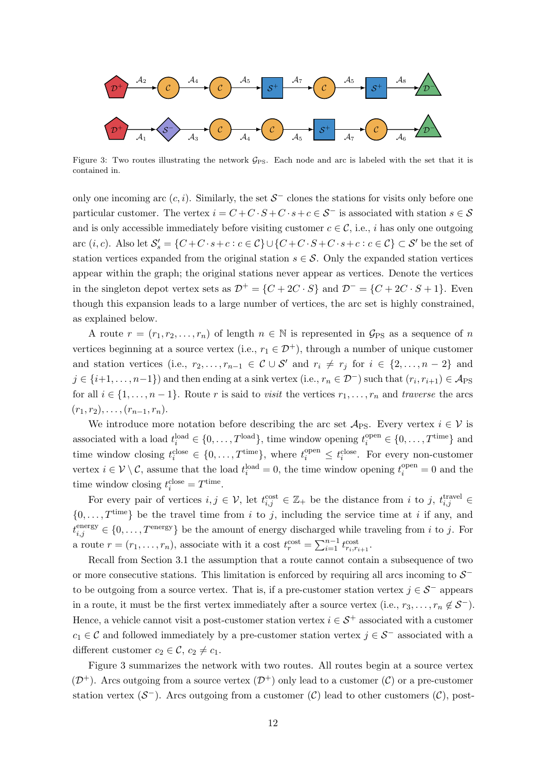<span id="page-12-0"></span>

Figure 3: Two routes illustrating the network  $\mathcal{G}_{PS}$ . Each node and arc is labeled with the set that it is contained in.

only one incoming arc  $(c, i)$ . Similarly, the set  $S^-$  clones the stations for visits only before one particular customer. The vertex  $i = C + C \cdot S + C \cdot s + c \in S^-$  is associated with station  $s \in S$ and is only accessible immediately before visiting customer  $c \in \mathcal{C}$ , i.e., *i* has only one outgoing arc  $(i, c)$ . Also let  $\mathcal{S}'_s = \{C + C \cdot s + c : c \in C\} \cup \{C + C \cdot S + C \cdot s + c : c \in C\} \subset \mathcal{S}'$  be the set of station vertices expanded from the original station  $s \in \mathcal{S}$ . Only the expanded station vertices appear within the graph; the original stations never appear as vertices. Denote the vertices in the singleton depot vertex sets as  $\mathcal{D}^+ = \{C + 2C \cdot S\}$  and  $\mathcal{D}^- = \{C + 2C \cdot S + 1\}$ . Even though this expansion leads to a large number of vertices, the arc set is highly constrained, as explained below.

A route  $r = (r_1, r_2, \ldots, r_n)$  of length  $n \in \mathbb{N}$  is represented in  $\mathcal{G}_{PS}$  as a sequence of n vertices beginning at a source vertex (i.e.,  $r_1 \in \mathcal{D}^+$ ), through a number of unique customer and station vertices (i.e.,  $r_2, \ldots, r_{n-1} \in \mathcal{C} \cup \mathcal{S}'$  and  $r_i \neq r_j$  for  $i \in \{2, \ldots, n-2\}$  and  $j \in \{i+1,\ldots,n-1\}$  and then ending at a sink vertex (i.e.,  $r_n \in \mathcal{D}^-$ ) such that  $(r_i, r_{i+1}) \in \mathcal{A}_{\text{PS}}$ for all  $i \in \{1, \ldots, n-1\}$ . Route r is said to visit the vertices  $r_1, \ldots, r_n$  and traverse the arcs  $(r_1, r_2), \ldots, (r_{n-1}, r_n).$ 

We introduce more notation before describing the arc set  $\mathcal{A}_{PS}$ . Every vertex  $i \in \mathcal{V}$  is associated with a load  $t_i^{\text{load}} \in \{0, \ldots, T^{\text{load}}\}$ , time window opening  $t_i^{\text{open}} \in \{0, \ldots, T^{\text{time}}\}$  and time window closing  $t_i^{\text{close}} \in \{0, \ldots, T^{\text{time}}\},$  where  $t_i^{\text{open}} \leq t_i^{\text{close}}$ . For every non-customer vertex  $i \in \mathcal{V} \setminus \mathcal{C}$ , assume that the load  $t_i^{\text{load}} = 0$ , the time window opening  $t_i^{\text{open}} = 0$  and the time window closing  $t_i^{\text{close}} = T^{\text{time}}$ .

For every pair of vertices  $i, j \in V$ , let  $t_{i,j}^{\text{cost}} \in \mathbb{Z}_+$  be the distance from i to j,  $t_{i,j}^{\text{travel}} \in$  $\{0,\ldots,T^{\text{time}}\}\$ be the travel time from i to j, including the service time at i if any, and  $t_{i,j}^{\text{energy}} \in \{0, \ldots, T^{\text{energy}}\}$  be the amount of energy discharged while traveling from i to j. For a route  $r = (r_1, \ldots, r_n)$ , associate with it a cost  $t_r^{\text{cost}} = \sum_{i=1}^{n-1} t_{r_i, r_{i+1}}^{\text{cost}}$ .

Recall from [Section 3.1](#page-7-1) the assumption that a route cannot contain a subsequence of two or more consecutive stations. This limitation is enforced by requiring all arcs incoming to  $S^$ to be outgoing from a source vertex. That is, if a pre-customer station vertex  $j \in \mathcal{S}^-$  appears in a route, it must be the first vertex immediately after a source vertex (i.e.,  $r_3, \ldots, r_n \notin \mathcal{S}^-$ ). Hence, a vehicle cannot visit a post-customer station vertex  $i \in S^+$  associated with a customer  $c_1 \in \mathcal{C}$  and followed immediately by a pre-customer station vertex  $j \in \mathcal{S}^-$  associated with a different customer  $c_2 \in \mathcal{C}$ ,  $c_2 \neq c_1$ .

[Figure 3](#page-12-0) summarizes the network with two routes. All routes begin at a source vertex  $(\mathcal{D}^+)$ . Arcs outgoing from a source vertex  $(\mathcal{D}^+)$  only lead to a customer  $(\mathcal{C})$  or a pre-customer station vertex  $(S^-)$ . Arcs outgoing from a customer  $(C)$  lead to other customers  $(C)$ , post-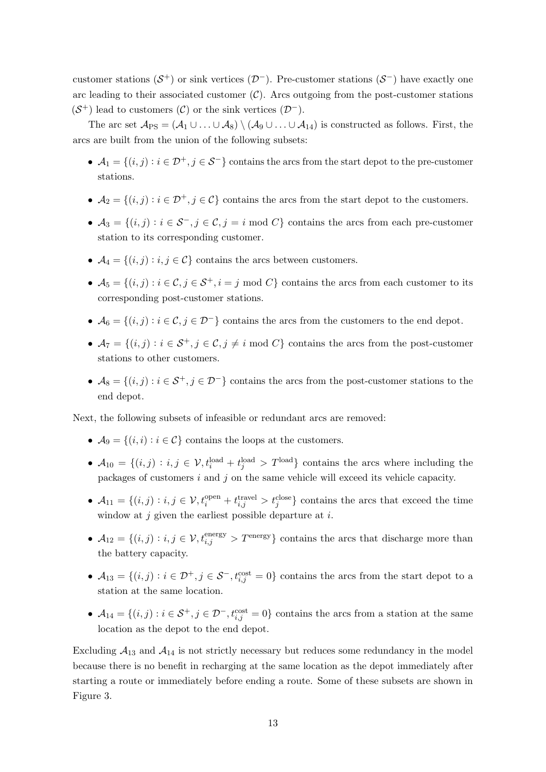customer stations  $(S^+)$  or sink vertices  $(\mathcal{D}^-)$ . Pre-customer stations  $(S^-)$  have exactly one arc leading to their associated customer  $(C)$ . Arcs outgoing from the post-customer stations  $(S^+)$  lead to customers  $(\mathcal{C})$  or the sink vertices  $(\mathcal{D}^-)$ .

The arc set  $\mathcal{A}_{PS} = (\mathcal{A}_1 \cup \ldots \cup \mathcal{A}_8) \setminus (\mathcal{A}_9 \cup \ldots \cup \mathcal{A}_{14})$  is constructed as follows. First, the arcs are built from the union of the following subsets:

- $A_1 = \{(i, j) : i \in \mathcal{D}^+, j \in \mathcal{S}^-\}$  contains the arcs from the start depot to the pre-customer stations.
- $A_2 = \{(i, j) : i \in \mathcal{D}^+, j \in \mathcal{C}\}\)$  contains the arcs from the start depot to the customers.
- $A_3 = \{(i, j) : i \in \mathcal{S}^-, j \in \mathcal{C}, j = i \text{ mod } C\}$  contains the arcs from each pre-customer station to its corresponding customer.
- $\mathcal{A}_4 = \{(i, j) : i, j \in \mathcal{C}\}\)$  contains the arcs between customers.
- $A_5 = \{(i, j) : i \in \mathcal{C}, j \in \mathcal{S}^+, i = j \text{ mod } C\}$  contains the arcs from each customer to its corresponding post-customer stations.
- $A_6 = \{(i, j) : i \in \mathcal{C}, j \in \mathcal{D}^-\}$  contains the arcs from the customers to the end depot.
- $A_7 = \{(i, j) : i \in S^+, j \in C, j \neq i \text{ mod } C\}$  contains the arcs from the post-customer stations to other customers.
- $A_8 = \{(i, j) : i \in S^+, j \in \mathcal{D}^-\}$  contains the arcs from the post-customer stations to the end depot.

Next, the following subsets of infeasible or redundant arcs are removed:

- $A_9 = \{(i, i) : i \in C\}$  contains the loops at the customers.
- $A_{10} = \{(i, j) : i, j \in V, t_i^{\text{load}} + t_j^{\text{load}} > T^{\text{load}}\}$  contains the arcs where including the packages of customers i and j on the same vehicle will exceed its vehicle capacity.
- $A_{11} = \{(i, j) : i, j \in \mathcal{V}, t_i^{open} + t_{i,j}^{travel} > t_j^{close}\}$  contains the arcs that exceed the time window at  $j$  given the earliest possible departure at  $i$ .
- $A_{12} = \{(i, j) : i, j \in \mathcal{V}, t_{i,j}^{\text{energy}} > T^{\text{energy}}\}$  contains the arcs that discharge more than the battery capacity.
- $A_{13} = \{(i, j) : i \in \mathcal{D}^+, j \in \mathcal{S}^-, t_{i,j}^{\text{cost}} = 0\}$  contains the arcs from the start depot to a station at the same location.
- $A_{14} = \{(i, j) : i \in S^+, j \in \mathcal{D}^-, t_{i,j}^{\text{cost}} = 0\}$  contains the arcs from a station at the same location as the depot to the end depot.

Excluding  $A_{13}$  and  $A_{14}$  is not strictly necessary but reduces some redundancy in the model because there is no benefit in recharging at the same location as the depot immediately after starting a route or immediately before ending a route. Some of these subsets are shown in [Figure 3.](#page-12-0)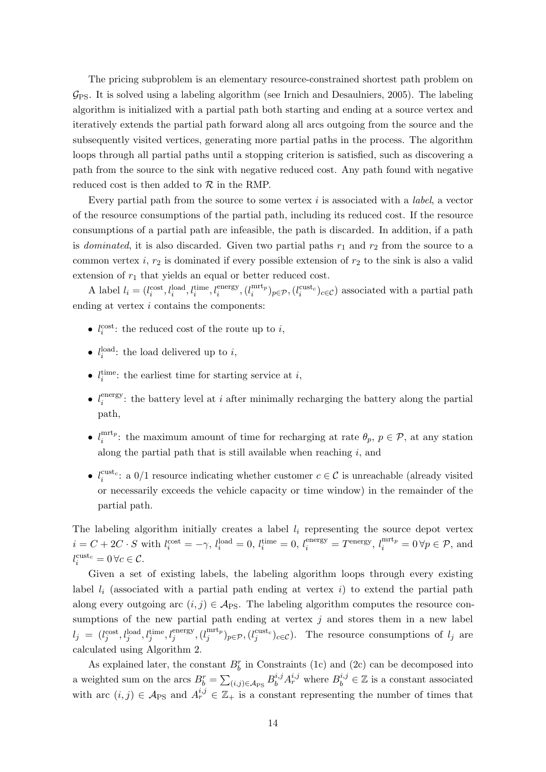The pricing subproblem is an elementary resource-constrained shortest path problem on  $\mathcal{G}_{\text{PS}}$ . It is solved using a labeling algorithm (see [Irnich and Desaulniers, 2005\)](#page-37-8). The labeling algorithm is initialized with a partial path both starting and ending at a source vertex and iteratively extends the partial path forward along all arcs outgoing from the source and the subsequently visited vertices, generating more partial paths in the process. The algorithm loops through all partial paths until a stopping criterion is satisfied, such as discovering a path from the source to the sink with negative reduced cost. Any path found with negative reduced cost is then added to  $R$  in the RMP.

Every partial path from the source to some vertex  $i$  is associated with a *label*, a vector of the resource consumptions of the partial path, including its reduced cost. If the resource consumptions of a partial path are infeasible, the path is discarded. In addition, if a path is dominated, it is also discarded. Given two partial paths  $r_1$  and  $r_2$  from the source to a common vertex  $i, r_2$  is dominated if every possible extension of  $r_2$  to the sink is also a valid extension of  $r_1$  that yields an equal or better reduced cost.

A label  $l_i = (l_i^{\text{cost}}, l_i^{\text{load}}, l_i^{\text{time}}, l_i^{\text{energy}}, (l_i^{\text{mrt}_p})$  $\binom{\text{mrt}_{p}}{i}$ <sub>p</sub> $\in \mathcal{P}$ , ( $l_i^{\text{cust}_c}$ )<sub>c</sub> $\in \mathcal{C}$ ) associated with a partial path ending at vertex  $i$  contains the components:

- $l_i^{\text{cost}}$ : the reduced cost of the route up to *i*,
- $l_i^{\text{load}}$ : the load delivered up to *i*,
- $l_i^{\text{time}}$ : the earliest time for starting service at  $i$ ,
- $\bullet$   $l_i^{\text{energy}}$ <sup>energy</sup>: the battery level at *i* after minimally recharging the battery along the partial path,
- $\bullet$   $l_i^{\text{mrt}_p}$  $\hat{u}_i^{\text{intr}}$ : the maximum amount of time for recharging at rate  $\theta_p$ ,  $p \in \mathcal{P}$ , at any station along the partial path that is still available when reaching  $i$ , and
- $l_i^{\text{cust}_c}$ : a 0/1 resource indicating whether customer  $c \in \mathcal{C}$  is unreachable (already visited or necessarily exceeds the vehicle capacity or time window) in the remainder of the partial path.

The labeling algorithm initially creates a label  $l_i$  representing the source depot vertex  $i = C + 2C \cdot S$  with  $l_i^{\text{cost}} = -\gamma$ ,  $l_i^{\text{load}} = 0$ ,  $l_i^{\text{time}} = 0$ ,  $l_i^{\text{energy}} = T^{\text{energy}}$ ,  $l_i^{\text{mrt}_p} = 0 \forall p \in \mathcal{P}$ , and  $l_i^{\text{cuts}_c} = 0 \,\forall c \in \mathcal{C}.$ 

Given a set of existing labels, the labeling algorithm loops through every existing label  $l_i$  (associated with a partial path ending at vertex  $i$ ) to extend the partial path along every outgoing arc  $(i, j) \in \mathcal{A}_{PS}$ . The labeling algorithm computes the resource consumptions of the new partial path ending at vertex  $j$  and stores them in a new label  $l_j = (l_j^{\text{cost}}, l_j^{\text{load}}, l_j^{\text{time}}, l_j^{\text{energy}}, (l_j^{\text{mrt}_p})$  $j^{mrt_p}_{j}$ <sub>*p*∈P</sub>, ( $l_j^{cust_c}_{j}$ )<sub>c∈C</sub>). The resource consumptions of  $l_j$  are calculated using [Algorithm 2.](#page-15-0)

As explained later, the constant  $B_b^r$  in [Constraints \(1c\)](#page-8-3) and [\(2c\)](#page-11-2) can be decomposed into a weighted sum on the arcs  $B_b^r = \sum_{(i,j) \in A_{PS}} B_b^{i,j} A_r^{i,j}$  where  $B_b^{i,j} \in \mathbb{Z}$  is a constant associated with arc  $(i, j) \in \mathcal{A}_{PS}$  and  $A_r^{i,j} \in \mathbb{Z}_+$  is a constant representing the number of times that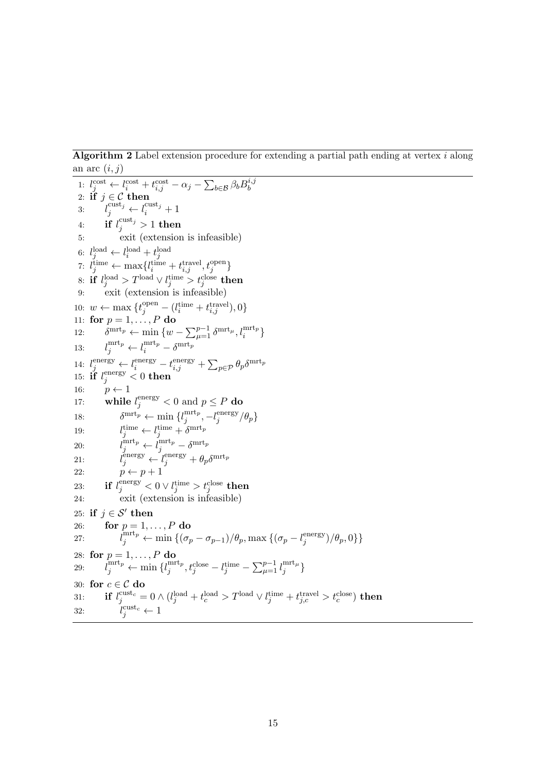<span id="page-15-0"></span>Algorithm 2 Label extension procedure for extending a partial path ending at vertex i along an arc  $(i, j)$ 

<span id="page-15-5"></span><span id="page-15-4"></span><span id="page-15-3"></span><span id="page-15-2"></span><span id="page-15-1"></span>1: 
$$
l_j^{\text{cost}} \leftarrow l_i^{\text{cost}} + l_i^{\text{cost}} - \alpha_j - \sum_{b \in \mathcal{B}} \beta_b B_b^{i,j}
$$
\n2: **if**  $j \in \mathcal{C}$  **then**\n3:  $l_j^{\text{cust}} \leftarrow l_i^{\text{cust}} + 1$ \n4: **if**  $l_j^{\text{cust}} \geq 1$  **then**\n5: **exit** (extension is infeasible)\n6:  $l_j^{\text{load}} \leftarrow l_i^{\text{load}} + t_j^{\text{load}} + t_{ij}^{\text{total}} + t_{ij}^{\text{open}} + t_{ij}^{\text{open}} + t_{ij}^{\text{open}} + t_{ij}^{\text{open}} + t_{ij}^{\text{close}}$ \n7:  $l_j^{\text{time}} \leftarrow \max\{l_i^{\text{time}} + t_{ij}^{\text{true}}\}, l_j^{\text{open}}\}$ \n8: **if**  $l_j^{\text{load}} > T^{\text{load}} \vee l_j^{\text{time}} > t_j^{\text{close}}$  **then**\n9: **exit** (extension is infeasible)\n10:  $w \leftarrow \max\{t_j^{\text{open}} - (l_i^{\text{time}} + t_{ij}^{\text{true}}\}, 0\}$ \n11: **for**  $p = 1, \ldots, P$  **do**\n12:  $\delta^{\text{mrt}_{p}} \leftarrow \min\{w - \sum_{\mu=1}^{p-1} \delta^{\text{mrt}_{\mu}}, l_{\mu}^{\text{unrt}_{p}}\}$ \n13:  $l_j^{\text{mrt}_{p}} \leftarrow l_j^{\text{energy}} \leftarrow l_j^{\text{energy}} + \sum_{p \in \mathcal{P}} \theta_p \delta^{\text{mrt}_{p}}$ \n14:  $l_j^{\text{energy}} \leftarrow l_j^{\text{energy}} - t_{ij}^{\text{empty}} + \sum_{j} \epsilon_{j} = \theta_p \delta^{\text{mrt}_{p}}$ \n15: **if**  $l_j^{\text{energy}} \$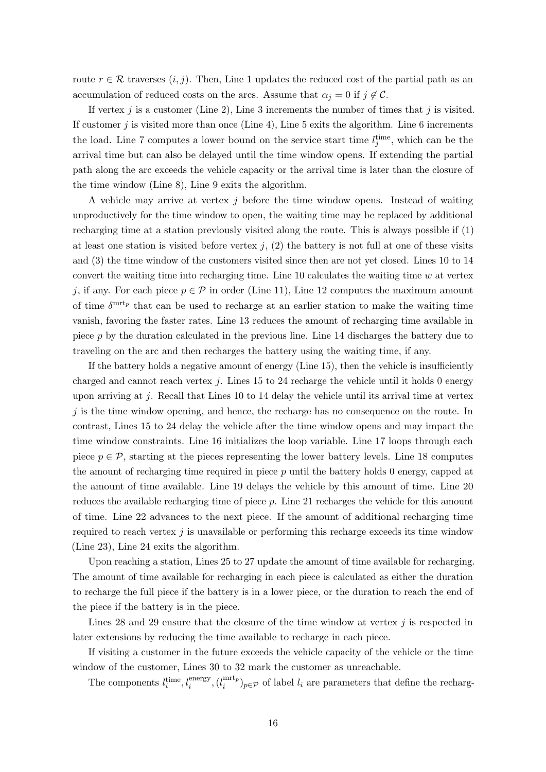route  $r \in \mathcal{R}$  traverses  $(i, j)$ . Then, [Line 1](#page-10-1) updates the reduced cost of the partial path as an accumulation of reduced costs on the arcs. Assume that  $\alpha_j = 0$  if  $j \notin \mathcal{C}$ .

If vertex  $j$  is a customer [\(Line 2\)](#page-10-2), [Line 3](#page-10-3) increments the number of times that  $j$  is visited. If customer  $j$  is visited more than once [\(Line 4\)](#page-10-4), [Line 5](#page-10-5) exits the algorithm. [Line 6](#page-10-20) increments the load. [Line 7](#page-10-6) computes a lower bound on the service start time  $l_j^{\text{time}}$ , which can be the arrival time but can also be delayed until the time window opens. If extending the partial path along the arc exceeds the vehicle capacity or the arrival time is later than the closure of the time window [\(Line 8\)](#page-10-21), [Line 9](#page-10-16) exits the algorithm.

A vehicle may arrive at vertex j before the time window opens. Instead of waiting unproductively for the time window to open, the waiting time may be replaced by additional recharging time at a station previously visited along the route. This is always possible if (1) at least one station is visited before vertex  $j$ ,  $(2)$  the battery is not full at one of these visits and (3) the time window of the customers visited since then are not yet closed. [Lines 10](#page-10-22) to [14](#page-10-12) convert the waiting time into recharging time. Line  $10$  calculates the waiting time  $w$  at vertex j, if any. For each piece  $p \in \mathcal{P}$  in order [\(Line 11\)](#page-10-8), [Line 12](#page-10-11) computes the maximum amount of time  $\delta^{\text{mrt}_{p}}$  that can be used to recharge at an earlier station to make the waiting time vanish, favoring the faster rates. [Line 13](#page-10-10) reduces the amount of recharging time available in piece p by the duration calculated in the previous line. [Line 14](#page-10-12) discharges the battery due to traveling on the arc and then recharges the battery using the waiting time, if any.

If the battery holds a negative amount of energy [\(Line 15\)](#page-10-13), then the vehicle is insufficiently charged and cannot reach vertex j. [Lines 15](#page-10-13) to [24](#page-10-23) recharge the vehicle until it holds 0 energy upon arriving at j. Recall that [Lines 10](#page-10-22) to [14](#page-10-12) delay the vehicle until its arrival time at vertex  $j$  is the time window opening, and hence, the recharge has no consequence on the route. In contrast, [Lines 15](#page-10-13) to [24](#page-10-23) delay the vehicle after the time window opens and may impact the time window constraints. [Line 16](#page-10-14) initializes the loop variable. [Line 17](#page-10-15) loops through each piece  $p \in \mathcal{P}$ , starting at the pieces representing the lower battery levels. [Line 18](#page-10-17) computes the amount of recharging time required in piece  $p$  until the battery holds 0 energy, capped at the amount of time available. [Line 19](#page-10-9) delays the vehicle by this amount of time. [Line 20](#page-10-24) reduces the available recharging time of piece p. [Line 21](#page-10-7) recharges the vehicle for this amount of time. [Line 22](#page-10-18) advances to the next piece. If the amount of additional recharging time required to reach vertex  $j$  is unavailable or performing this recharge exceeds its time window [\(Line 23\)](#page-10-25), [Line 24](#page-10-23) exits the algorithm.

Upon reaching a station, [Lines 25](#page-10-19) to [27](#page-15-1) update the amount of time available for recharging. The amount of time available for recharging in each piece is calculated as either the duration to recharge the full piece if the battery is in a lower piece, or the duration to reach the end of the piece if the battery is in the piece.

[Lines 28](#page-15-2) and [29](#page-15-3) ensure that the closure of the time window at vertex  $j$  is respected in later extensions by reducing the time available to recharge in each piece.

If visiting a customer in the future exceeds the vehicle capacity of the vehicle or the time window of the customer, [Lines 30](#page-15-4) to [32](#page-15-5) mark the customer as unreachable.

The components  $l_i^{\text{time}}, l_i^{\text{energy}}, (l_i^{\text{mrt}_p})$  $\binom{\text{int}_{p}}{i}$  (i)  $\binom{\text{int}_{p}}{i}$  are parameters that define the recharg-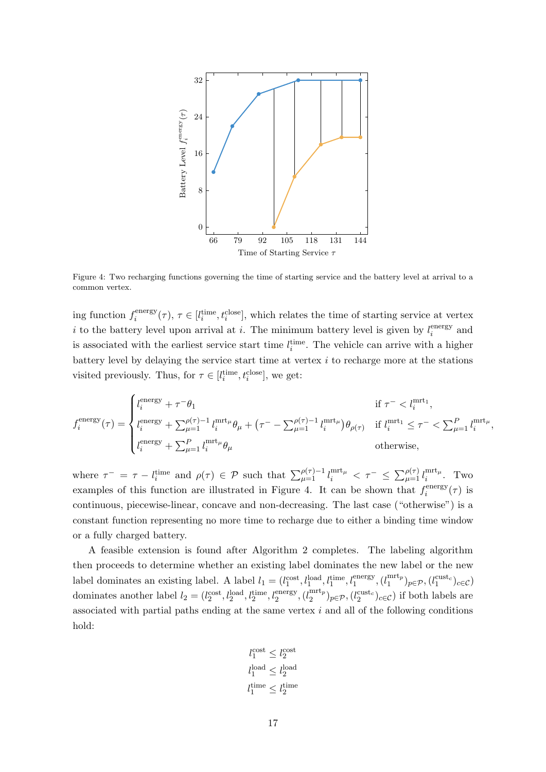<span id="page-17-0"></span>

Figure 4: Two recharging functions governing the time of starting service and the battery level at arrival to a common vertex.

ing function  $f_i^{\text{energy}}$  $i_{i}^{energy}(\tau)$ ,  $\tau \in [l_i^{time}, t_i^{close}]$ , which relates the time of starting service at vertex i to the battery level upon arrival at i. The minimum battery level is given by  $l_i^{\text{energy}}$  $i$ <sup>energy</sup> and is associated with the earliest service start time  $l_i^{\text{time}}$ . The vehicle can arrive with a higher battery level by delaying the service start time at vertex  $i$  to recharge more at the stations visited previously. Thus, for  $\tau \in [l_i^{\text{time}}, t_i^{\text{close}}]$ , we get:

$$
f_i^{\text{energy}}(\tau) = \begin{cases} l_i^{\text{energy}} + \tau^- \theta_1 & \text{if } \tau^- < l_i^{\text{mrt}_1}, \\ l_i^{\text{energy}} + \sum_{\mu=1}^{\rho(\tau)-1} l_i^{\text{mrt}_{\mu}} \theta_{\mu} + \left(\tau^- - \sum_{\mu=1}^{\rho(\tau)-1} l_i^{\text{mrt}_{\mu}}\right) \theta_{\rho(\tau)} & \text{if } l_i^{\text{mrt}_1} \leq \tau^- < \sum_{\mu=1}^P l_i^{\text{mrt}_{\mu}}, \\ l_i^{\text{energy}} + \sum_{\mu=1}^P l_i^{\text{mrt}_{\mu}} \theta_{\mu} & \text{otherwise}, \end{cases}
$$

where  $\tau^- = \tau - l_i^{\text{time}}$  and  $\rho(\tau) \in \mathcal{P}$  such that  $\sum_{\mu=1}^{\rho(\tau)-1} l_i^{\text{mrt}_{\mu}} < \tau^- \leq \sum_{\mu=1}^{\rho(\tau)} l_i^{\text{mrt}_{\mu}}$  $\int_{i}^{\text{inrt}\mu}$ . Two examples of this function are illustrated in [Figure 4.](#page-17-0) It can be shown that  $f_i^{\text{energy}}$  $i^{\text{energy}}(\tau)$  is continuous, piecewise-linear, concave and non-decreasing. The last case ("otherwise") is a constant function representing no more time to recharge due to either a binding time window or a fully charged battery.

A feasible extension is found after [Algorithm 2](#page-15-0) completes. The labeling algorithm then proceeds to determine whether an existing label dominates the new label or the new label dominates an existing label. A label  $l_1 = (l_1^{\text{cost}}, l_1^{\text{load}}, l_1^{\text{time}}, l_1^{\text{energy}}, (l_1^{\text{mrt}_p})$  $\binom{\text{mrt}_p}{1}$   $p \in \mathcal{P}, (\ell_1^{\text{cust}_c})_{c \in \mathcal{C}})$ dominates another label  $l_2 = (l_2^{\text{cost}}, l_2^{\text{load}}, l_2^{\text{time}}, l_2^{\text{energy}}, (l_2^{\text{mrt}_p})$  $\binom{\text{mrt}_p}{2} p \in \mathcal{P}, \left(l_2^{\text{cuts}t_c}\right)_{c \in \mathcal{C}}$  if both labels are associated with partial paths ending at the same vertex  $i$  and all of the following conditions hold:

$$
\begin{aligned} l_1^{\rm cost} &\leq l_2^{\rm cost} \\ l_1^{\rm load} &\leq l_2^{\rm load} \\ l_1^{\rm time} &\leq l_2^{\rm time} \end{aligned}
$$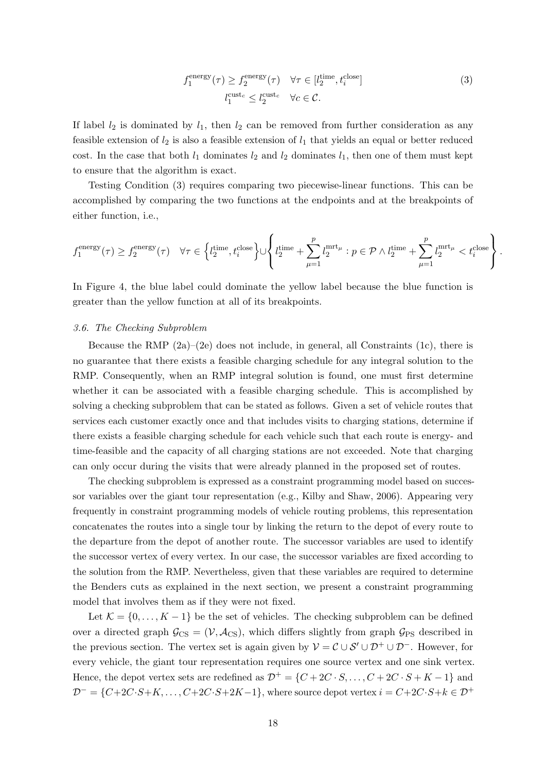$$
f_1^{\text{energy}}(\tau) \ge f_2^{\text{energy}}(\tau) \quad \forall \tau \in [l_2^{\text{time}}, t_i^{\text{close}}] l_1^{\text{cuts}} \le l_2^{\text{cuts}} \quad \forall c \in \mathcal{C}.
$$
 (3)

<span id="page-18-1"></span>.

If label  $l_2$  is dominated by  $l_1$ , then  $l_2$  can be removed from further consideration as any feasible extension of  $l_2$  is also a feasible extension of  $l_1$  that yields an equal or better reduced cost. In the case that both  $l_1$  dominates  $l_2$  and  $l_2$  dominates  $l_1$ , then one of them must kept to ensure that the algorithm is exact.

Testing [Condition \(3\)](#page-18-1) requires comparing two piecewise-linear functions. This can be accomplished by comparing the two functions at the endpoints and at the breakpoints of either function, i.e.,

$$
f_1^{\text{energy}}(\tau) \ge f_2^{\text{energy}}(\tau) \quad \forall \tau \in \left\{ l_2^{\text{time}}, t_i^{\text{close}} \right\} \cup \left\{ l_2^{\text{time}} + \sum_{\mu=1}^p l_2^{\text{mrt}_{\mu}} : p \in \mathcal{P} \land l_2^{\text{time}} + \sum_{\mu=1}^p l_2^{\text{mrt}_{\mu}} < t_i^{\text{close}} \right\}
$$

In [Figure 4,](#page-17-0) the blue label could dominate the yellow label because the blue function is greater than the yellow function at all of its breakpoints.

## <span id="page-18-0"></span>3.6. The Checking Subproblem

Because the RMP  $(2a)–(2e)$  $(2a)–(2e)$  $(2a)–(2e)$  does not include, in general, all Constraints  $(1c)$ , there is no guarantee that there exists a feasible charging schedule for any integral solution to the RMP. Consequently, when an RMP integral solution is found, one must first determine whether it can be associated with a feasible charging schedule. This is accomplished by solving a checking subproblem that can be stated as follows. Given a set of vehicle routes that services each customer exactly once and that includes visits to charging stations, determine if there exists a feasible charging schedule for each vehicle such that each route is energy- and time-feasible and the capacity of all charging stations are not exceeded. Note that charging can only occur during the visits that were already planned in the proposed set of routes.

The checking subproblem is expressed as a constraint programming model based on successor variables over the giant tour representation (e.g., [Kilby and Shaw, 2006\)](#page-37-9). Appearing very frequently in constraint programming models of vehicle routing problems, this representation concatenates the routes into a single tour by linking the return to the depot of every route to the departure from the depot of another route. The successor variables are used to identify the successor vertex of every vertex. In our case, the successor variables are fixed according to the solution from the RMP. Nevertheless, given that these variables are required to determine the Benders cuts as explained in the next section, we present a constraint programming model that involves them as if they were not fixed.

Let  $\mathcal{K} = \{0, \ldots, K - 1\}$  be the set of vehicles. The checking subproblem can be defined over a directed graph  $\mathcal{G}_{CS} = (\mathcal{V}, \mathcal{A}_{CS})$ , which differs slightly from graph  $\mathcal{G}_{PS}$  described in the previous section. The vertex set is again given by  $\mathcal{V} = \mathcal{C} \cup \mathcal{S}' \cup \mathcal{D}^+ \cup \mathcal{D}^-$ . However, for every vehicle, the giant tour representation requires one source vertex and one sink vertex. Hence, the depot vertex sets are redefined as  $\mathcal{D}^+ = \{C + 2C \cdot S, \ldots, C + 2C \cdot S + K - 1\}$  and  $\mathcal{D}^- = \{C+2C\cdot S+K,\ldots,C+2C\cdot S+2K-1\}$ , where source depot vertex  $i = C+2C\cdot S+k \in \mathcal{D}^+$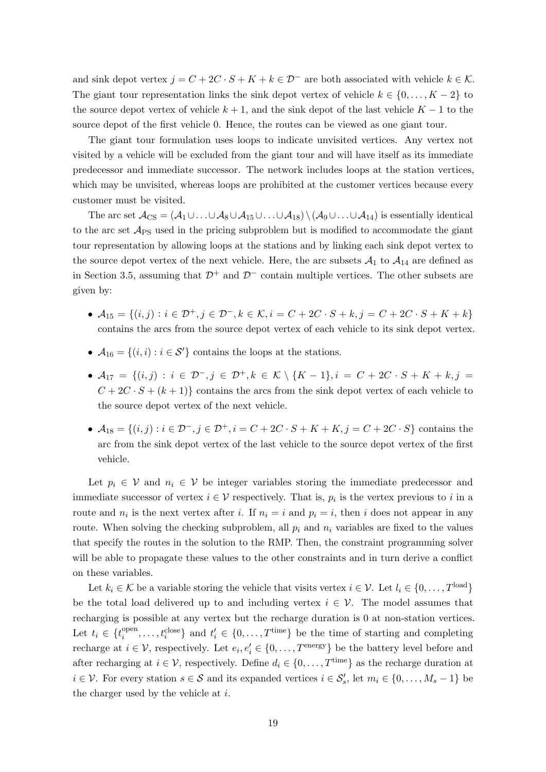and sink depot vertex  $j = C + 2C \cdot S + K + k \in \mathcal{D}^-$  are both associated with vehicle  $k \in \mathcal{K}$ . The giant tour representation links the sink depot vertex of vehicle  $k \in \{0, \ldots, K-2\}$  to the source depot vertex of vehicle  $k + 1$ , and the sink depot of the last vehicle  $K - 1$  to the source depot of the first vehicle 0. Hence, the routes can be viewed as one giant tour.

The giant tour formulation uses loops to indicate unvisited vertices. Any vertex not visited by a vehicle will be excluded from the giant tour and will have itself as its immediate predecessor and immediate successor. The network includes loops at the station vertices, which may be unvisited, whereas loops are prohibited at the customer vertices because every customer must be visited.

The arc set  $\mathcal{A}_{CS} = (\mathcal{A}_1 \cup \ldots \cup \mathcal{A}_8 \cup \mathcal{A}_{15} \cup \ldots \cup \mathcal{A}_{18}) \setminus (\mathcal{A}_9 \cup \ldots \cup \mathcal{A}_{14})$  is essentially identical to the arc set  $\mathcal{A}_{PS}$  used in the pricing subproblem but is modified to accommodate the giant tour representation by allowing loops at the stations and by linking each sink depot vertex to the source depot vertex of the next vehicle. Here, the arc subsets  $A_1$  to  $A_{14}$  are defined as in Section [3.5,](#page-11-4) assuming that  $\mathcal{D}^+$  and  $\mathcal{D}^-$  contain multiple vertices. The other subsets are given by:

- $A_{15} = \{(i, j) : i \in \mathcal{D}^+, j \in \mathcal{D}^-, k \in \mathcal{K}, i = C + 2C \cdot S + k, j = C + 2C \cdot S + K + k\}$ contains the arcs from the source depot vertex of each vehicle to its sink depot vertex.
- $A_{16} = \{(i, i) : i \in \mathcal{S}'\}$  contains the loops at the stations.
- $A_{17} = \{(i, j) : i \in \mathcal{D}^-, j \in \mathcal{D}^+, k \in \mathcal{K} \setminus \{K-1\}, i = C + 2C \cdot S + K + k, j =$  $C + 2C \cdot S + (k+1)$  contains the arcs from the sink depot vertex of each vehicle to the source depot vertex of the next vehicle.
- $A_{18} = \{(i, j) : i \in \mathcal{D}^-, j \in \mathcal{D}^+, i = C + 2C \cdot S + K + K, j = C + 2C \cdot S\}$  contains the arc from the sink depot vertex of the last vehicle to the source depot vertex of the first vehicle.

Let  $p_i \in V$  and  $n_i \in V$  be integer variables storing the immediate predecessor and immediate successor of vertex  $i \in V$  respectively. That is,  $p_i$  is the vertex previous to i in a route and  $n_i$  is the next vertex after i. If  $n_i = i$  and  $p_i = i$ , then i does not appear in any route. When solving the checking subproblem, all  $p_i$  and  $n_i$  variables are fixed to the values that specify the routes in the solution to the RMP. Then, the constraint programming solver will be able to propagate these values to the other constraints and in turn derive a conflict on these variables.

Let  $k_i \in \mathcal{K}$  be a variable storing the vehicle that visits vertex  $i \in \mathcal{V}$ . Let  $l_i \in \{0, \ldots, T^{\text{load}}\}$ be the total load delivered up to and including vertex  $i \in \mathcal{V}$ . The model assumes that recharging is possible at any vertex but the recharge duration is 0 at non-station vertices. Let  $t_i \in \{t_i^{\text{open}}\}$  $\{e_i^{\text{open}}, \ldots, t_i^{\text{close}}\}$  and  $t'_i \in \{0, \ldots, T^{\text{time}}\}$  be the time of starting and completing recharge at  $i \in \mathcal{V}$ , respectively. Let  $e_i, e'_i \in \{0, \ldots, T^{\text{energy}}\}$  be the battery level before and after recharging at  $i \in \mathcal{V}$ , respectively. Define  $d_i \in \{0, \ldots, T^{\text{time}}\}$  as the recharge duration at  $i \in \mathcal{V}$ . For every station  $s \in \mathcal{S}$  and its expanded vertices  $i \in \mathcal{S}'_s$ , let  $m_i \in \{0, \ldots, M_s - 1\}$  be the charger used by the vehicle at  $i$ .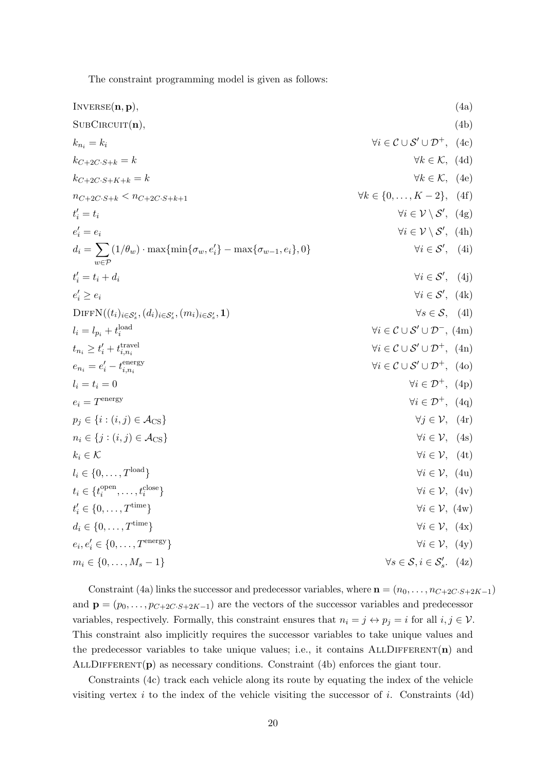<span id="page-20-13"></span><span id="page-20-12"></span><span id="page-20-11"></span><span id="page-20-10"></span><span id="page-20-9"></span><span id="page-20-8"></span><span id="page-20-7"></span><span id="page-20-6"></span><span id="page-20-5"></span><span id="page-20-4"></span><span id="page-20-3"></span><span id="page-20-2"></span><span id="page-20-1"></span><span id="page-20-0"></span>The constraint programming model is given as follows:

| INVERSE(n, p),                                                                                              |                                                           | (4a) |
|-------------------------------------------------------------------------------------------------------------|-----------------------------------------------------------|------|
| SUBCIRCUIT(n),                                                                                              |                                                           | (4b) |
| $k_{n_i}=k_i$                                                                                               | $\forall i \in C \cup S' \cup \mathcal{D}^+, (4c)$        |      |
| $k_{C+2C\cdot S+k} = k$                                                                                     | $\forall k \in \mathcal{K}, (4d)$                         |      |
| $k_{C+2C\cdot S+K+k} = k$                                                                                   | $\forall k \in \mathcal{K}, (4e)$                         |      |
| $n_{C+2C\cdot S+k} < n_{C+2C\cdot S+k+1}$                                                                   | $\forall k \in \{0, , K-2\}, (4f)$                        |      |
| $t_i' = t_i$                                                                                                | $\forall i \in \mathcal{V} \setminus \mathcal{S}'$ , (4g) |      |
| $e_i' = e_i$                                                                                                | $\forall i \in \mathcal{V} \setminus \mathcal{S}'$ , (4h) |      |
| $d_i = \sum (1/\theta_w) \cdot \max\{\min\{\sigma_w, e'_i\} - \max\{\sigma_{w-1}, e_i\}, 0\}$               | $\forall i \in \mathcal{S}'$ , (4i)                       |      |
| $t'_{i} = t_{i} + d_{i}$                                                                                    | $\forall i \in \mathcal{S}'$ , (4j)                       |      |
| $e'_i \geq e_i$                                                                                             | $\forall i \in \mathcal{S}'$ , (4k)                       |      |
| $\text{DIFFN}((t_i)_{i \in \mathcal{S}'_s}, (d_i)_{i \in \mathcal{S}'_s}, (m_i)_{i \in \mathcal{S}'_s}, 1)$ | $\forall s \in \mathcal{S}, \quad (4l)$                   |      |
| $l_i = l_{p_i} + t_i^{\text{load}}$                                                                         | $\forall i \in C \cup S' \cup \mathcal{D}^-$ , (4m)       |      |
| $t_{n_i} \geq t'_i + t_{i,n_i}^{\text{travel}}$                                                             | $\forall i \in C \cup S' \cup \mathcal{D}^+$ , (4n)       |      |
| $e_{n_i}=e_i'-t_{i,n_i}^{\text{energy}}$                                                                    | $\forall i \in C \cup S' \cup \mathcal{D}^+$ , (40)       |      |
| $l_i = t_i = 0$                                                                                             | $\forall i \in \mathcal{D}^+$ , (4p)                      |      |
| $e_i = T^{\text{energy}}$                                                                                   | $\forall i \in \mathcal{D}^+$ , (4q)                      |      |
| $p_i \in \{i : (i, j) \in \mathcal{A}_{\mathrm{CS}}\}\$                                                     | $\forall j \in \mathcal{V}, (4r)$                         |      |
| $n_i \in \{j : (i, j) \in \mathcal{A}_{\mathrm{CS}}\}\$                                                     | $\forall i \in \mathcal{V}, (4s)$                         |      |
| $k_i \in \mathcal{K}$                                                                                       | $\forall i \in \mathcal{V}, \quad (4t)$                   |      |
| $l_i \in \{0,\ldots,T^{\text{load}}\}\$                                                                     | $\forall i \in \mathcal{V}, (4u)$                         |      |
| $t_i \in \{t_i^{\text{open}}, \dots, t_i^{\text{close}}\}$                                                  | $\forall i \in \mathcal{V}, (4v)$                         |      |
| $t'_i \in \{0, , T^{\text{time}}\}\$                                                                        | $\forall i \in \mathcal{V}, (4w)$                         |      |
| $d_i \in \{0, \ldots, T^{\text{time}}\}\$                                                                   | $\forall i \in \mathcal{V}, (4x)$                         |      |
| $e_i, e'_i \in \{0, , T^{\text{energy}}\}\$                                                                 | $\forall i \in \mathcal{V}, (4y)$                         |      |
| $m_i \in \{0, \ldots, M_s - 1\}$                                                                            | $\forall s \in \mathcal{S}, i \in \mathcal{S}'_s.$ (4z)   |      |

<span id="page-20-18"></span><span id="page-20-17"></span><span id="page-20-16"></span><span id="page-20-15"></span><span id="page-20-14"></span>[Constraint \(4a\)](#page-20-0) links the successor and predecessor variables, where  $\mathbf{n} = (n_0, \ldots, n_{C+2C \cdot S+2K-1})$ and  $\mathbf{p} = (p_0, \ldots, p_{C+2C \cdot S+2K-1})$  are the vectors of the successor variables and predecessor variables, respectively. Formally, this constraint ensures that  $n_i = j \leftrightarrow p_j = i$  for all  $i, j \in V$ . This constraint also implicitly requires the successor variables to take unique values and the predecessor variables to take unique values; i.e., it contains  $ALLDIFFERENT(n)$  and ALLDIFFERENT( $\bf{p}$ ) as necessary conditions. [Constraint \(4b\)](#page-20-1) enforces the giant tour.

[Constraints \(4c\)](#page-20-2) track each vehicle along its route by equating the index of the vehicle visiting vertex  $i$  to the index of the vehicle visiting the successor of  $i$ . [Constraints \(4d\)](#page-20-3)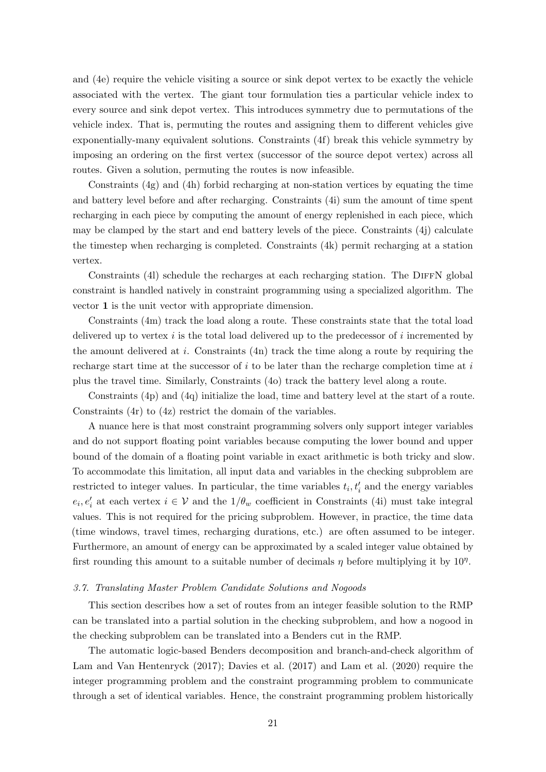and [\(4e\)](#page-20-4) require the vehicle visiting a source or sink depot vertex to be exactly the vehicle associated with the vertex. The giant tour formulation ties a particular vehicle index to every source and sink depot vertex. This introduces symmetry due to permutations of the vehicle index. That is, permuting the routes and assigning them to different vehicles give exponentially-many equivalent solutions. [Constraints \(4f\)](#page-20-5) break this vehicle symmetry by imposing an ordering on the first vertex (successor of the source depot vertex) across all routes. Given a solution, permuting the routes is now infeasible.

[Constraints \(4g\)](#page-20-6) and [\(4h\)](#page-20-7) forbid recharging at non-station vertices by equating the time and battery level before and after recharging. [Constraints \(4i\)](#page-20-8) sum the amount of time spent recharging in each piece by computing the amount of energy replenished in each piece, which may be clamped by the start and end battery levels of the piece. [Constraints \(4j\)](#page-20-9) calculate the timestep when recharging is completed. [Constraints \(4k\)](#page-20-10) permit recharging at a station vertex.

[Constraints \(4l\)](#page-20-11) schedule the recharges at each recharging station. The DIFFN global constraint is handled natively in constraint programming using a specialized algorithm. The vector 1 is the unit vector with appropriate dimension.

[Constraints \(4m\)](#page-20-12) track the load along a route. These constraints state that the total load delivered up to vertex  $i$  is the total load delivered up to the predecessor of  $i$  incremented by the amount delivered at i. Constraints  $(4n)$  track the time along a route by requiring the recharge start time at the successor of  $i$  to be later than the recharge completion time at  $i$ plus the travel time. Similarly, [Constraints \(4o\)](#page-20-14) track the battery level along a route.

[Constraints \(4p\)](#page-20-15) and [\(4q\)](#page-20-16) initialize the load, time and battery level at the start of a route. [Constraints \(4r\)](#page-20-17) to [\(4z\)](#page-20-18) restrict the domain of the variables.

A nuance here is that most constraint programming solvers only support integer variables and do not support floating point variables because computing the lower bound and upper bound of the domain of a floating point variable in exact arithmetic is both tricky and slow. To accommodate this limitation, all input data and variables in the checking subproblem are restricted to integer values. In particular, the time variables  $t_i, t'_i$  and the energy variables  $e_i, e'_i$  at each vertex  $i \in V$  and the  $1/\theta_w$  coefficient in [Constraints \(4i\)](#page-20-8) must take integral values. This is not required for the pricing subproblem. However, in practice, the time data (time windows, travel times, recharging durations, etc.) are often assumed to be integer. Furthermore, an amount of energy can be approximated by a scaled integer value obtained by first rounding this amount to a suitable number of decimals  $\eta$  before multiplying it by 10<sup>η</sup>.

#### 3.7. Translating Master Problem Candidate Solutions and Nogoods

This section describes how a set of routes from an integer feasible solution to the RMP can be translated into a partial solution in the checking subproblem, and how a nogood in the checking subproblem can be translated into a Benders cut in the RMP.

The automatic logic-based Benders decomposition and branch-and-check algorithm of [Lam and Van Hentenryck](#page-38-4) [\(2017\)](#page-38-4); [Davies et al.](#page-36-4) [\(2017\)](#page-36-4) and [Lam et al.](#page-37-1) [\(2020\)](#page-37-1) require the integer programming problem and the constraint programming problem to communicate through a set of identical variables. Hence, the constraint programming problem historically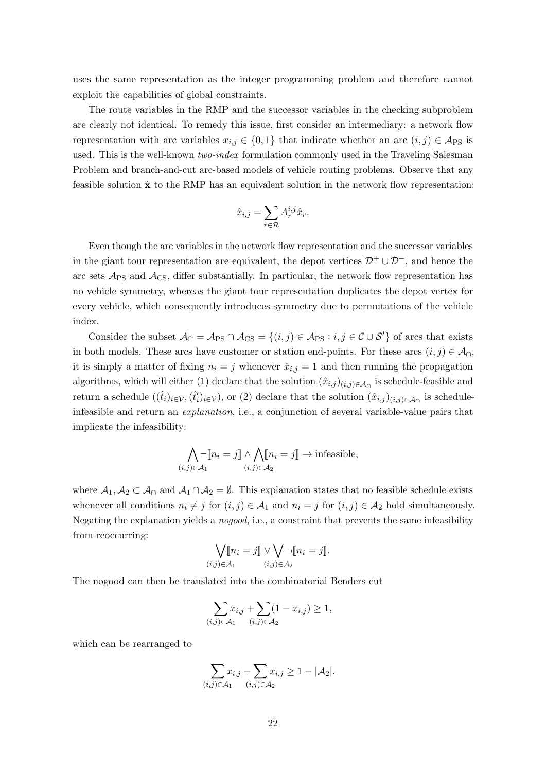uses the same representation as the integer programming problem and therefore cannot exploit the capabilities of global constraints.

The route variables in the RMP and the successor variables in the checking subproblem are clearly not identical. To remedy this issue, first consider an intermediary: a network flow representation with arc variables  $x_{i,j} \in \{0,1\}$  that indicate whether an arc  $(i,j) \in \mathcal{A}_{PS}$  is used. This is the well-known two-index formulation commonly used in the Traveling Salesman Problem and branch-and-cut arc-based models of vehicle routing problems. Observe that any feasible solution  $\hat{\mathbf{x}}$  to the RMP has an equivalent solution in the network flow representation:

$$
\hat{x}_{i,j} = \sum_{r \in \mathcal{R}} A_r^{i,j} \hat{x}_r.
$$

Even though the arc variables in the network flow representation and the successor variables in the giant tour representation are equivalent, the depot vertices  $\mathcal{D}^+ \cup \mathcal{D}^-$ , and hence the arc sets  $\mathcal{A}_{PS}$  and  $\mathcal{A}_{CS}$ , differ substantially. In particular, the network flow representation has no vehicle symmetry, whereas the giant tour representation duplicates the depot vertex for every vehicle, which consequently introduces symmetry due to permutations of the vehicle index.

Consider the subset  $\mathcal{A}_{\cap} = \mathcal{A}_{PS} \cap \mathcal{A}_{CS} = \{(i,j) \in \mathcal{A}_{PS} : i,j \in \mathcal{C} \cup \mathcal{S}'\}$  of arcs that exists in both models. These arcs have customer or station end-points. For these arcs  $(i, j) \in A_{\cap}$ , it is simply a matter of fixing  $n_i = j$  whenever  $\hat{x}_{i,j} = 1$  and then running the propagation algorithms, which will either (1) declare that the solution  $(\hat{x}_{i,j})_{(i,j)\in\mathcal{A}_{\cap}}$  is schedule-feasible and return a schedule  $((\hat{t}_i)_{i\in\mathcal{V}},(\hat{t}'_i)_{i\in\mathcal{V}})$ , or (2) declare that the solution  $(\hat{x}_{i,j})_{(i,j)\in\mathcal{A}_{\cap}}$  is scheduleinfeasible and return an explanation, i.e., a conjunction of several variable-value pairs that implicate the infeasibility:

$$
\bigwedge_{(i,j)\in\mathcal{A}_1} \neg \llbracket n_i = j \rrbracket \land \bigwedge_{(i,j)\in\mathcal{A}_2} \llbracket n_i = j \rrbracket \to \text{infeasible},
$$

where  $A_1, A_2 \subset A_0$  and  $A_1 \cap A_2 = \emptyset$ . This explanation states that no feasible schedule exists whenever all conditions  $n_i \neq j$  for  $(i, j) \in A_1$  and  $n_i = j$  for  $(i, j) \in A_2$  hold simultaneously. Negating the explanation yields a *nogood*, i.e., a constraint that prevents the same infeasibility from reoccurring:

$$
\bigvee_{(i,j)\in\mathcal{A}_1} [n_i = j] \vee \bigvee_{(i,j)\in\mathcal{A}_2} \neg [n_i = j].
$$

The nogood can then be translated into the combinatorial Benders cut

$$
\sum_{(i,j)\in A_1} x_{i,j} + \sum_{(i,j)\in A_2} (1 - x_{i,j}) \ge 1,
$$

which can be rearranged to

$$
\sum_{(i,j)\in\mathcal{A}_1} x_{i,j} - \sum_{(i,j)\in\mathcal{A}_2} x_{i,j} \ge 1 - |\mathcal{A}_2|.
$$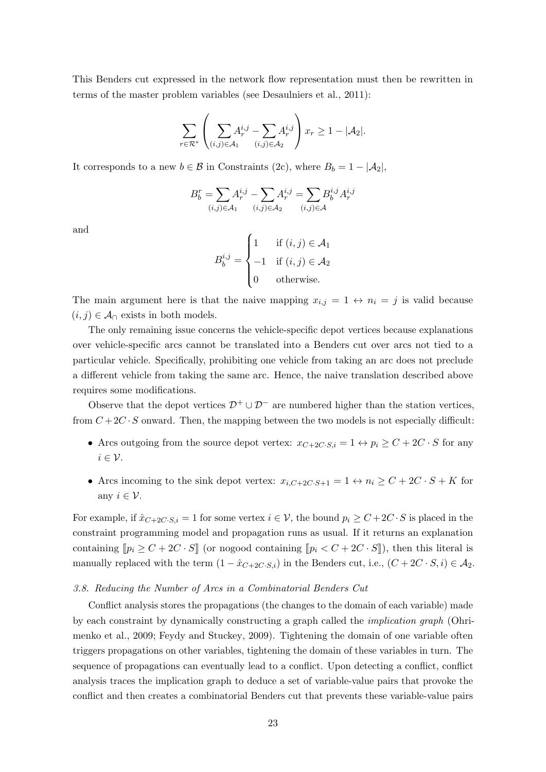This Benders cut expressed in the network flow representation must then be rewritten in terms of the master problem variables (see [Desaulniers et al., 2011\)](#page-36-13):

$$
\sum_{r \in \mathcal{R}^*} \left( \sum_{(i,j) \in \mathcal{A}_1} A_r^{i,j} - \sum_{(i,j) \in \mathcal{A}_2} A_r^{i,j} \right) x_r \ge 1 - |\mathcal{A}_2|.
$$

It corresponds to a new  $b \in \mathcal{B}$  in [Constraints \(2c\),](#page-11-2) where  $B_b = 1 - |\mathcal{A}_2|$ ,

$$
B^{r}_{b} = \sum_{(i,j) \in \mathcal{A}_{1}} A^{i,j}_{r} - \sum_{(i,j) \in \mathcal{A}_{2}} A^{i,j}_{r} = \sum_{(i,j) \in \mathcal{A}} B^{i,j}_{b} A^{i,j}_{r}
$$

and

$$
B_b^{i,j} = \begin{cases} 1 & \text{if } (i,j) \in \mathcal{A}_1 \\ -1 & \text{if } (i,j) \in \mathcal{A}_2 \\ 0 & \text{otherwise.} \end{cases}
$$

The main argument here is that the naive mapping  $x_{i,j} = 1 \leftrightarrow n_i = j$  is valid because  $(i, j) \in \mathcal{A}_{\cap}$  exists in both models.

The only remaining issue concerns the vehicle-specific depot vertices because explanations over vehicle-specific arcs cannot be translated into a Benders cut over arcs not tied to a particular vehicle. Specifically, prohibiting one vehicle from taking an arc does not preclude a different vehicle from taking the same arc. Hence, the naive translation described above requires some modifications.

Observe that the depot vertices  $\mathcal{D}^+ \cup \mathcal{D}^-$  are numbered higher than the station vertices, from  $C+2C\cdot S$  onward. Then, the mapping between the two models is not especially difficult:

- Arcs outgoing from the source depot vertex:  $x_{C+2C\cdot S,i} = 1 \leftrightarrow p_i \geq C + 2C \cdot S$  for any  $i \in \mathcal{V}$ .
- Arcs incoming to the sink depot vertex:  $x_{i,C+2C\cdot S+1} = 1 \leftrightarrow n_i \geq C + 2C \cdot S + K$  for any  $i \in \mathcal{V}$ .

For example, if  $\hat{x}_{C+2C\cdot S,i} = 1$  for some vertex  $i \in V$ , the bound  $p_i \geq C + 2C \cdot S$  is placed in the constraint programming model and propagation runs as usual. If it returns an explanation containing  $[p_i \geq C + 2C \cdot S]$  (or nogood containing  $[p_i \lt C + 2C \cdot S]$ ), then this literal is manually replaced with the term  $(1 - \hat{x}_{C+2C \cdot S,i})$  in the Benders cut, i.e.,  $(C + 2C \cdot S, i) \in \mathcal{A}_2$ .

#### 3.8. Reducing the Number of Arcs in a Combinatorial Benders Cut

Conflict analysis stores the propagations (the changes to the domain of each variable) made by each constraint by dynamically constructing a graph called the implication graph [\(Ohri](#page-38-6)[menko et al., 2009;](#page-38-6) [Feydy and Stuckey, 2009\)](#page-36-6). Tightening the domain of one variable often triggers propagations on other variables, tightening the domain of these variables in turn. The sequence of propagations can eventually lead to a conflict. Upon detecting a conflict, conflict analysis traces the implication graph to deduce a set of variable-value pairs that provoke the conflict and then creates a combinatorial Benders cut that prevents these variable-value pairs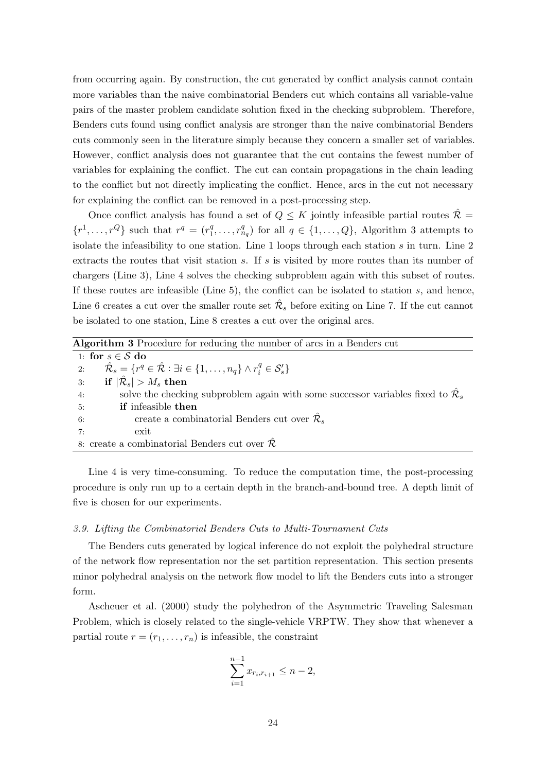from occurring again. By construction, the cut generated by conflict analysis cannot contain more variables than the naive combinatorial Benders cut which contains all variable-value pairs of the master problem candidate solution fixed in the checking subproblem. Therefore, Benders cuts found using conflict analysis are stronger than the naive combinatorial Benders cuts commonly seen in the literature simply because they concern a smaller set of variables. However, conflict analysis does not guarantee that the cut contains the fewest number of variables for explaining the conflict. The cut can contain propagations in the chain leading to the conflict but not directly implicating the conflict. Hence, arcs in the cut not necessary for explaining the conflict can be removed in a post-processing step.

Once conflict analysis has found a set of  $Q \leq K$  jointly infeasible partial routes  $\hat{\mathcal{R}} =$  $\{r^1,\ldots,r^Q\}$  such that  $r^q = (r_1^q)$  $_1^q, \ldots, r_{n_q}^q$  for all  $q \in \{1, \ldots, Q\}$ , [Algorithm 3](#page-24-0) attempts to isolate the infeasibility to one station. [Line 1](#page-10-1) loops through each station s in turn. [Line 2](#page-10-2) extracts the routes that visit station  $s$ . If  $s$  is visited by more routes than its number of chargers [\(Line 3\)](#page-10-3), [Line 4](#page-10-4) solves the checking subproblem again with this subset of routes. If these routes are infeasible (Line  $5$ ), the conflict can be isolated to station s, and hence, [Line 6](#page-10-20) creates a cut over the smaller route set  $\hat{\mathcal{R}}_s$  before exiting on [Line 7.](#page-10-6) If the cut cannot be isolated to one station, [Line 8](#page-10-21) creates a cut over the original arcs.

<span id="page-24-0"></span>

| <b>Algorithm 3</b> Procedure for reducing the number of arcs in a Benders cut                                                  |
|--------------------------------------------------------------------------------------------------------------------------------|
| 1: for $s \in \mathcal{S}$ do                                                                                                  |
| $\hat{\mathcal{R}}_s = \{r^q \in \hat{\mathcal{R}} : \exists i \in \{1, \ldots, n_q\} \wedge r_i^q \in \mathcal{S}'_s\}$<br>2: |
| if $ \hat{\mathcal{R}}_s  > M_s$ then<br>3:                                                                                    |
| solve the checking subproblem again with some successor variables fixed to $\mathcal{R}_s$<br>4:                               |
| <b>if</b> infeasible <b>then</b><br>5:                                                                                         |
| create a combinatorial Benders cut over $\mathcal{R}_s$<br>6:                                                                  |
| exit<br>7:                                                                                                                     |
| 8: create a combinatorial Benders cut over $\mathcal{R}$                                                                       |

[Line 4](#page-10-4) is very time-consuming. To reduce the computation time, the post-processing procedure is only run up to a certain depth in the branch-and-bound tree. A depth limit of five is chosen for our experiments.

# 3.9. Lifting the Combinatorial Benders Cuts to Multi-Tournament Cuts

The Benders cuts generated by logical inference do not exploit the polyhedral structure of the network flow representation nor the set partition representation. This section presents minor polyhedral analysis on the network flow model to lift the Benders cuts into a stronger form.

[Ascheuer et al.](#page-35-1) [\(2000\)](#page-35-1) study the polyhedron of the Asymmetric Traveling Salesman Problem, which is closely related to the single-vehicle VRPTW. They show that whenever a partial route  $r = (r_1, \ldots, r_n)$  is infeasible, the constraint

$$
\sum_{i=1}^{n-1} x_{r_i, r_{i+1}} \le n-2,
$$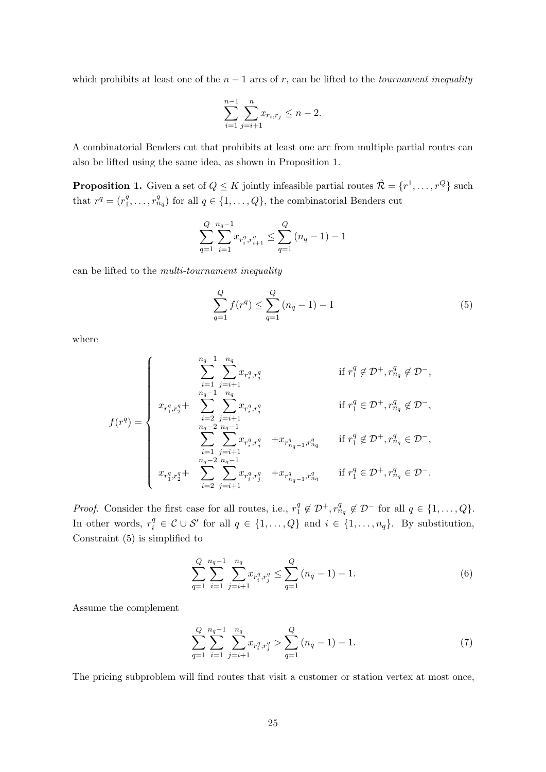which prohibits at least one of the  $n-1$  arcs of r, can be lifted to the *tournament inequality* 

$$
\sum_{i=1}^{n-1} \sum_{j=i+1}^{n} x_{r_i, r_j} \le n - 2.
$$

A combinatorial Benders cut that prohibits at least one arc from multiple partial routes can also be lifted using the same idea, as shown in [Proposition 1.](#page-25-0)

<span id="page-25-0"></span>**Proposition 1.** Given a set of  $Q \leq K$  jointly infeasible partial routes  $\hat{\mathcal{R}} = \{r^1, \ldots, r^Q\}$  such that  $r^q = (r_1^q)$  $\{a_1^q, \ldots, r_{n_q}^q\}$  for all  $q \in \{1, \ldots, Q\}$ , the combinatorial Benders cut

$$
\sum_{q=1}^{Q} \sum_{i=1}^{n_q-1} x_{r_i^q, r_{i+1}^q} \le \sum_{q=1}^{Q} (n_q - 1) - 1
$$

can be lifted to the multi-tournament inequality

<span id="page-25-1"></span>
$$
\sum_{q=1}^{Q} f(r^q) \le \sum_{q=1}^{Q} (n_q - 1) - 1 \tag{5}
$$

where

$$
f(r^q) = \begin{cases} \sum_{i=1}^{n_q-1} \sum_{j=i+1}^{n_q} x_{r_i^q, r_j^q} & \text{if } r_1^q \notin \mathcal{D}^+, r_{n_q}^q \notin \mathcal{D}^-,\\ x_{r_1^q, r_2^q} + \sum_{i=2}^{n_q-1} \sum_{j=i+1}^{n_q} x_{r_i^q, r_j^q} & \text{if } r_1^q \in \mathcal{D}^+, r_{n_q}^q \notin \mathcal{D}^-,\\ \sum_{i=1}^{n_q-2} \sum_{j=i+1}^{n_q-1} x_{r_i^q, r_j^q} & + x_{r_{n_q-1}^q, r_{n_q}^q} & \text{if } r_1^q \notin \mathcal{D}^+, r_{n_q}^q \in \mathcal{D}^-,\\ x_{r_1^q, r_2^q} + \sum_{i=2}^{n_q-2} \sum_{j=i+1}^{n_q-1} x_{r_i^q, r_j^q} & + x_{r_{n_q-1}^q, r_{n_q}^q} & \text{if } r_1^q \in \mathcal{D}^+, r_{n_q}^q \in \mathcal{D}^-. \end{cases}
$$

*Proof.* Consider the first case for all routes, i.e.,  $r_1^q$  $_1^q \notin \mathcal{D}^+, r_{n_q}^q \notin \mathcal{D}^-$  for all  $q \in \{1, \ldots, Q\}.$ In other words,  $r_i^q \in \mathcal{C} \cup \mathcal{S}'$  for all  $q \in \{1, ..., Q\}$  and  $i \in \{1, ..., n_q\}$ . By substitution, [Constraint \(5\)](#page-25-1) is simplified to

<span id="page-25-3"></span>
$$
\sum_{q=1}^{Q} \sum_{i=1}^{n_q-1} \sum_{j=i+1}^{n_q} x_{r_i^q, r_j^q} \le \sum_{q=1}^{Q} (n_q - 1) - 1.
$$
 (6)

Assume the complement

<span id="page-25-2"></span>
$$
\sum_{q=1}^{Q} \sum_{i=1}^{n_q-1} \sum_{j=i+1}^{n_q} x_{r_i^q, r_j^q} > \sum_{q=1}^{Q} (n_q - 1) - 1.
$$
 (7)

The pricing subproblem will find routes that visit a customer or station vertex at most once,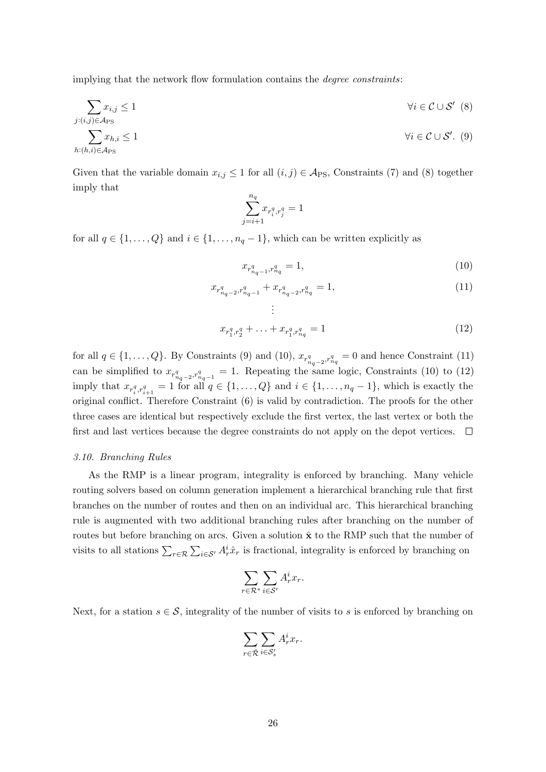implying that the network flow formulation contains the degree constraints:

$$
\sum_{j:(i,j)\in\mathcal{A}_{PS}} x_{i,j} \le 1 \qquad \forall i \in \mathcal{C} \cup \mathcal{S}' \tag{8}
$$
\n
$$
\sum_{h:(h,i)\in\mathcal{A}_{PS}} x_{h,i} \le 1 \qquad \forall i \in \mathcal{C} \cup \mathcal{S}'.
$$

Given that the variable domain  $x_{i,j} \leq 1$  for all  $(i,j) \in \mathcal{A}_{PS}$ , [Constraints \(7\)](#page-25-2) and [\(8\)](#page-26-0) together imply that

<span id="page-26-1"></span><span id="page-26-0"></span>
$$
\sum_{j=i+1}^{n_q} x_{r_i^q,r_j^q}=1
$$

for all  $q \in \{1, ..., Q\}$  and  $i \in \{1, ..., n_q - 1\}$ , which can be written explicitly as

<span id="page-26-4"></span><span id="page-26-3"></span><span id="page-26-2"></span>
$$
x_{r_{n_q-1}^q, r_{n_q}^q} = 1,\t\t(10)
$$

$$
x_{r_{n_q-2}^q, r_{n_q-1}^q} + x_{r_{n_q-2}^q, r_{n_q}^q} = 1,
$$
\n
$$
\vdots
$$
\n(11)

$$
x_{r_1^q, r_2^q} + \ldots + x_{r_1^q, r_{n_q}^q} = 1 \tag{12}
$$

for all  $q \in \{1, \ldots, Q\}$ . By [Constraints \(9\)](#page-26-1) and [\(10\),](#page-26-2)  $x_{r_{n_q-2}, r_{n_q}^q} = 0$  and hence [Constraint \(11\)](#page-26-3) can be simplified to  $x_{r^n_{n_q-2},r^n_{n_q-1}}=1$ . Repeating the same logic, [Constraints \(10\)](#page-26-2) to [\(12\)](#page-26-4) imply that  $x_{r_i^q,r_{i+1}^q} = 1$  for all  $q \in \{1,\ldots,Q\}$  and  $i \in \{1,\ldots,n_q-1\}$ , which is exactly the original conflict. Therefore [Constraint \(6\)](#page-25-3) is valid by contradiction. The proofs for the other three cases are identical but respectively exclude the first vertex, the last vertex or both the first and last vertices because the degree constraints do not apply on the depot vertices.  $\Box$ 

## 3.10. Branching Rules

As the RMP is a linear program, integrality is enforced by branching. Many vehicle routing solvers based on column generation implement a hierarchical branching rule that first branches on the number of routes and then on an individual arc. This hierarchical branching rule is augmented with two additional branching rules after branching on the number of routes but before branching on arcs. Given a solution  $\hat{\mathbf{x}}$  to the RMP such that the number of visits to all stations  $\sum_{r \in \mathcal{R}} \sum_{i \in \mathcal{S}'} A_r^i \hat{x}_r$  is fractional, integrality is enforced by branching on

$$
\sum_{r \in \mathcal{R}^*} \sum_{i \in \mathcal{S}'} A_r^i x_r.
$$

Next, for a station  $s \in \mathcal{S}$ , integrality of the number of visits to s is enforced by branching on

$$
\sum_{r \in \hat{\mathcal{R}}} \sum_{i \in \mathcal{S}'_s} A^i_r x_r.
$$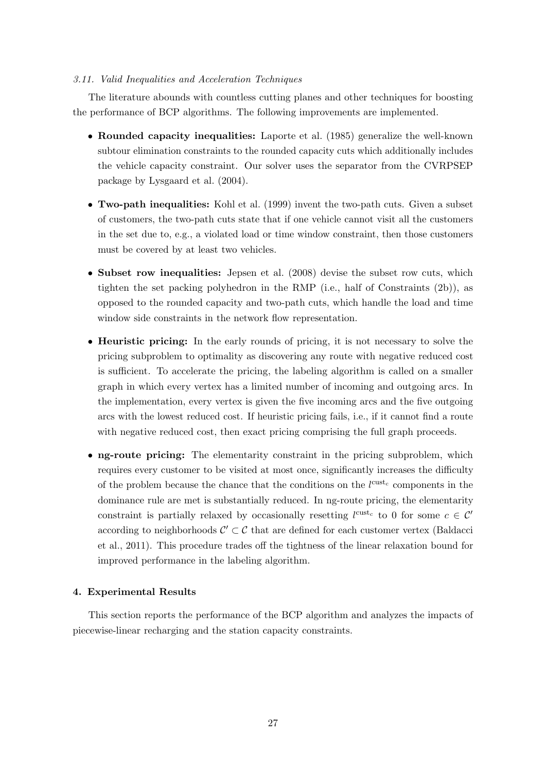## 3.11. Valid Inequalities and Acceleration Techniques

The literature abounds with countless cutting planes and other techniques for boosting the performance of BCP algorithms. The following improvements are implemented.

- Rounded capacity inequalities: [Laporte et al.](#page-38-8) [\(1985\)](#page-38-8) generalize the well-known subtour elimination constraints to the rounded capacity cuts which additionally includes the vehicle capacity constraint. Our solver uses the separator from the CVRPSEP package by [Lysgaard et al.](#page-38-9) [\(2004\)](#page-38-9).
- Two-path inequalities: [Kohl et al.](#page-37-10) [\(1999\)](#page-37-10) invent the two-path cuts. Given a subset of customers, the two-path cuts state that if one vehicle cannot visit all the customers in the set due to, e.g., a violated load or time window constraint, then those customers must be covered by at least two vehicles.
- Subset row inequalities: [Jepsen et al.](#page-37-11) [\(2008\)](#page-37-11) devise the subset row cuts, which tighten the set packing polyhedron in the RMP (i.e., half of [Constraints \(2b\)\)](#page-11-0), as opposed to the rounded capacity and two-path cuts, which handle the load and time window side constraints in the network flow representation.
- Heuristic pricing: In the early rounds of pricing, it is not necessary to solve the pricing subproblem to optimality as discovering any route with negative reduced cost is sufficient. To accelerate the pricing, the labeling algorithm is called on a smaller graph in which every vertex has a limited number of incoming and outgoing arcs. In the implementation, every vertex is given the five incoming arcs and the five outgoing arcs with the lowest reduced cost. If heuristic pricing fails, i.e., if it cannot find a route with negative reduced cost, then exact pricing comprising the full graph proceeds.
- ng-route pricing: The elementarity constraint in the pricing subproblem, which requires every customer to be visited at most once, significantly increases the difficulty of the problem because the chance that the conditions on the  $l^{\text{cust}_c}$  components in the dominance rule are met is substantially reduced. In ng-route pricing, the elementarity constraint is partially relaxed by occasionally resetting  $l^{\text{cust}_c}$  to 0 for some  $c \in \mathcal{C}'$ according to neighborhoods  $\mathcal{C}' \subset \mathcal{C}$  that are defined for each customer vertex [\(Baldacci](#page-35-2) [et al., 2011\)](#page-35-2). This procedure trades off the tightness of the linear relaxation bound for improved performance in the labeling algorithm.

# <span id="page-27-0"></span>4. Experimental Results

This section reports the performance of the BCP algorithm and analyzes the impacts of piecewise-linear recharging and the station capacity constraints.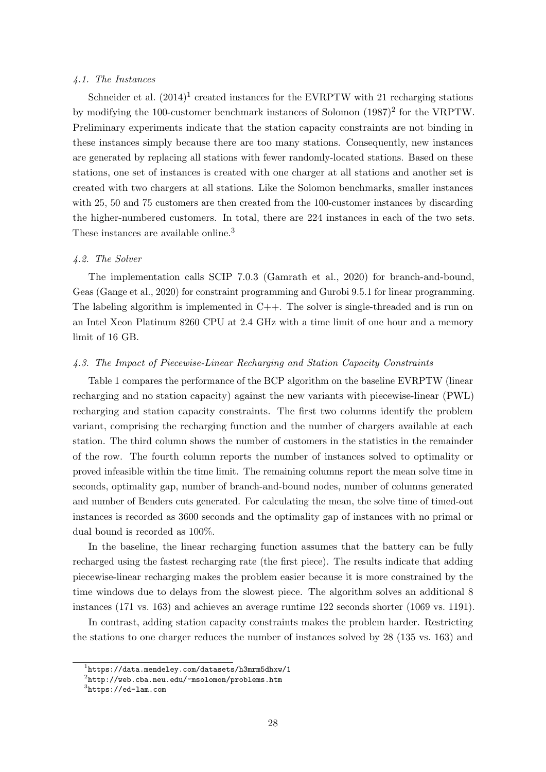# 4.1. The Instances

[Schneider et al.](#page-38-10)  $(2014)^1$  $(2014)^1$  $(2014)^1$  created instances for the EVRPTW with 21 recharging stations by modifying the 100-customer benchmark instances of [Solomon](#page-38-11)  $(1987)^2$  $(1987)^2$  $(1987)^2$  for the VRPTW. Preliminary experiments indicate that the station capacity constraints are not binding in these instances simply because there are too many stations. Consequently, new instances are generated by replacing all stations with fewer randomly-located stations. Based on these stations, one set of instances is created with one charger at all stations and another set is created with two chargers at all stations. Like the Solomon benchmarks, smaller instances with 25, 50 and 75 customers are then created from the 100-customer instances by discarding the higher-numbered customers. In total, there are 224 instances in each of the two sets. These instances are available online.<sup>[3](#page-28-2)</sup>

## 4.2. The Solver

The implementation calls SCIP 7.0.3 [\(Gamrath et al., 2020\)](#page-36-14) for branch-and-bound, Geas [\(Gange et al., 2020\)](#page-37-12) for constraint programming and Gurobi 9.5.1 for linear programming. The labeling algorithm is implemented in  $C++$ . The solver is single-threaded and is run on an Intel Xeon Platinum 8260 CPU at 2.4 GHz with a time limit of one hour and a memory limit of 16 GB.

# 4.3. The Impact of Piecewise-Linear Recharging and Station Capacity Constraints

[Table 1](#page-29-0) compares the performance of the BCP algorithm on the baseline EVRPTW (linear recharging and no station capacity) against the new variants with piecewise-linear (PWL) recharging and station capacity constraints. The first two columns identify the problem variant, comprising the recharging function and the number of chargers available at each station. The third column shows the number of customers in the statistics in the remainder of the row. The fourth column reports the number of instances solved to optimality or proved infeasible within the time limit. The remaining columns report the mean solve time in seconds, optimality gap, number of branch-and-bound nodes, number of columns generated and number of Benders cuts generated. For calculating the mean, the solve time of timed-out instances is recorded as 3600 seconds and the optimality gap of instances with no primal or dual bound is recorded as 100%.

In the baseline, the linear recharging function assumes that the battery can be fully recharged using the fastest recharging rate (the first piece). The results indicate that adding piecewise-linear recharging makes the problem easier because it is more constrained by the time windows due to delays from the slowest piece. The algorithm solves an additional 8 instances (171 vs. 163) and achieves an average runtime 122 seconds shorter (1069 vs. 1191).

In contrast, adding station capacity constraints makes the problem harder. Restricting the stations to one charger reduces the number of instances solved by 28 (135 vs. 163) and

<span id="page-28-0"></span><sup>1</sup> <https://data.mendeley.com/datasets/h3mrm5dhxw/1>

<span id="page-28-1"></span> $^{2}$ <http://web.cba.neu.edu/~msolomon/problems.htm>

<span id="page-28-2"></span> ${}^{3}$ <https://ed-lam.com>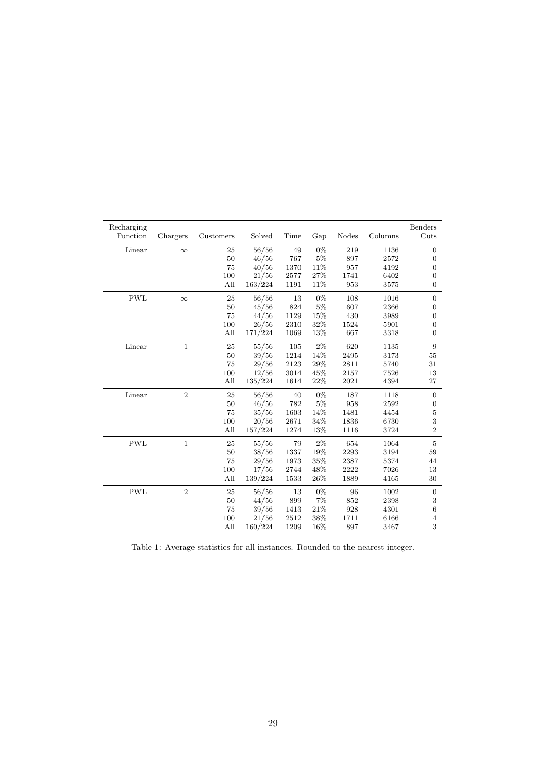<span id="page-29-0"></span>

| Recharging<br>Function | Chargers       | Customers | Solved  | Time | Gap   | Nodes | Columns | <b>Benders</b><br>Cuts |
|------------------------|----------------|-----------|---------|------|-------|-------|---------|------------------------|
| Linear                 | $\infty$       | 25        | 56/56   | 49   | 0%    | 219   | 1136    | $\overline{0}$         |
|                        |                | 50        | 46/56   | 767  | 5%    | 897   | 2572    | $\overline{0}$         |
|                        |                | 75        | 40/56   | 1370 | 11%   | 957   | 4192    | $\mathbf{0}$           |
|                        |                | 100       | 21/56   | 2577 | 27%   | 1741  | 6402    | $\overline{0}$         |
|                        |                | All       | 163/224 | 1191 | 11%   | 953   | 3575    | $\overline{0}$         |
| <b>PWL</b>             | $\infty$       | 25        | 56/56   | 13   | $0\%$ | 108   | 1016    | $\mathbf{0}$           |
|                        |                | $50\,$    | 45/56   | 824  | $5\%$ | 607   | 2366    | $\mathbf{0}$           |
|                        |                | 75        | 44/56   | 1129 | 15%   | 430   | 3989    | $\mathbf{0}$           |
|                        |                | 100       | 26/56   | 2310 | 32%   | 1524  | 5901    | $\overline{0}$         |
|                        |                | All       | 171/224 | 1069 | 13%   | 667   | 3318    | $\overline{0}$         |
| Linear                 | $\mathbf{1}$   | $\rm 25$  | 55/56   | 105  | $2\%$ | 620   | 1135    | $\boldsymbol{9}$       |
|                        |                | 50        | 39/56   | 1214 | 14%   | 2495  | 3173    | 55                     |
|                        |                | 75        | 29/56   | 2123 | 29%   | 2811  | 5740    | 31                     |
|                        |                | 100       | 12/56   | 3014 | 45%   | 2157  | 7526    | 13                     |
|                        |                | All       | 135/224 | 1614 | 22%   | 2021  | 4394    | 27                     |
| Linear                 | $\overline{2}$ | $\rm 25$  | 56/56   | 40   | 0%    | 187   | 1118    | $\mathbf{0}$           |
|                        |                | 50        | 46/56   | 782  | 5%    | 958   | 2592    | $\mathbf{0}$           |
|                        |                | 75        | 35/56   | 1603 | 14%   | 1481  | 4454    | $\mathbf 5$            |
|                        |                | 100       | 20/56   | 2671 | 34%   | 1836  | 6730    | 3                      |
|                        |                | All       | 157/224 | 1274 | 13%   | 1116  | 3724    | $\overline{2}$         |
| <b>PWL</b>             | $\mathbf{1}$   | 25        | 55/56   | 79   | $2\%$ | 654   | 1064    | $\overline{5}$         |
|                        |                | 50        | 38/56   | 1337 | 19%   | 2293  | 3194    | 59                     |
|                        |                | 75        | 29/56   | 1973 | 35%   | 2387  | 5374    | 44                     |
|                        |                | 100       | 17/56   | 2744 | 48%   | 2222  | 7026    | 13                     |
|                        |                | All       | 139/224 | 1533 | 26%   | 1889  | 4165    | 30                     |
| <b>PWL</b>             | $\sqrt{2}$     | $\rm 25$  | 56/56   | 13   | $0\%$ | 96    | 1002    | $\boldsymbol{0}$       |
|                        |                | $50\,$    | 44/56   | 899  | 7%    | 852   | 2398    | $\,3$                  |
|                        |                | 75        | 39/56   | 1413 | 21%   | 928   | 4301    | $\boldsymbol{6}$       |
|                        |                | 100       | 21/56   | 2512 | 38%   | 1711  | 6166    | $\overline{4}$         |
|                        |                | All       | 160/224 | 1209 | 16%   | 897   | 3467    | 3                      |

Table 1: Average statistics for all instances. Rounded to the nearest integer.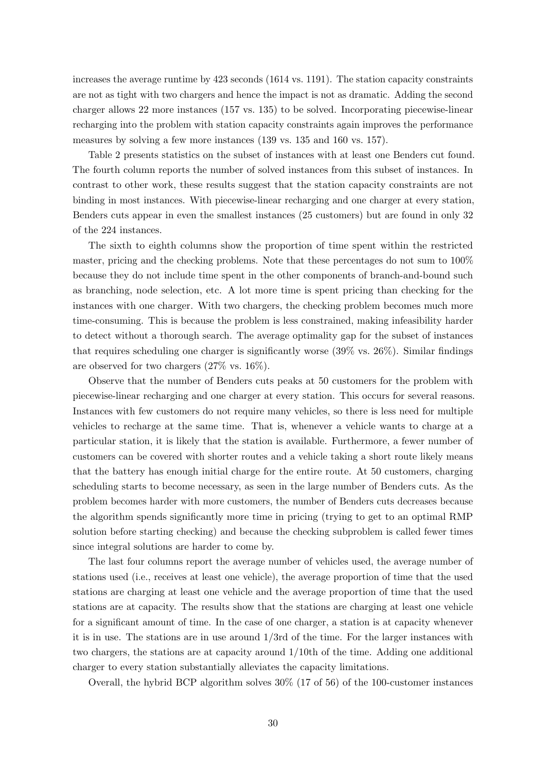increases the average runtime by 423 seconds (1614 vs. 1191). The station capacity constraints are not as tight with two chargers and hence the impact is not as dramatic. Adding the second charger allows 22 more instances (157 vs. 135) to be solved. Incorporating piecewise-linear recharging into the problem with station capacity constraints again improves the performance measures by solving a few more instances (139 vs. 135 and 160 vs. 157).

[Table 2](#page-31-0) presents statistics on the subset of instances with at least one Benders cut found. The fourth column reports the number of solved instances from this subset of instances. In contrast to other work, these results suggest that the station capacity constraints are not binding in most instances. With piecewise-linear recharging and one charger at every station, Benders cuts appear in even the smallest instances (25 customers) but are found in only 32 of the 224 instances.

The sixth to eighth columns show the proportion of time spent within the restricted master, pricing and the checking problems. Note that these percentages do not sum to 100% because they do not include time spent in the other components of branch-and-bound such as branching, node selection, etc. A lot more time is spent pricing than checking for the instances with one charger. With two chargers, the checking problem becomes much more time-consuming. This is because the problem is less constrained, making infeasibility harder to detect without a thorough search. The average optimality gap for the subset of instances that requires scheduling one charger is significantly worse (39% vs. 26%). Similar findings are observed for two chargers (27% vs. 16%).

Observe that the number of Benders cuts peaks at 50 customers for the problem with piecewise-linear recharging and one charger at every station. This occurs for several reasons. Instances with few customers do not require many vehicles, so there is less need for multiple vehicles to recharge at the same time. That is, whenever a vehicle wants to charge at a particular station, it is likely that the station is available. Furthermore, a fewer number of customers can be covered with shorter routes and a vehicle taking a short route likely means that the battery has enough initial charge for the entire route. At 50 customers, charging scheduling starts to become necessary, as seen in the large number of Benders cuts. As the problem becomes harder with more customers, the number of Benders cuts decreases because the algorithm spends significantly more time in pricing (trying to get to an optimal RMP solution before starting checking) and because the checking subproblem is called fewer times since integral solutions are harder to come by.

The last four columns report the average number of vehicles used, the average number of stations used (i.e., receives at least one vehicle), the average proportion of time that the used stations are charging at least one vehicle and the average proportion of time that the used stations are at capacity. The results show that the stations are charging at least one vehicle for a significant amount of time. In the case of one charger, a station is at capacity whenever it is in use. The stations are in use around 1/3rd of the time. For the larger instances with two chargers, the stations are at capacity around 1/10th of the time. Adding one additional charger to every station substantially alleviates the capacity limitations.

Overall, the hybrid BCP algorithm solves 30% (17 of 56) of the 100-customer instances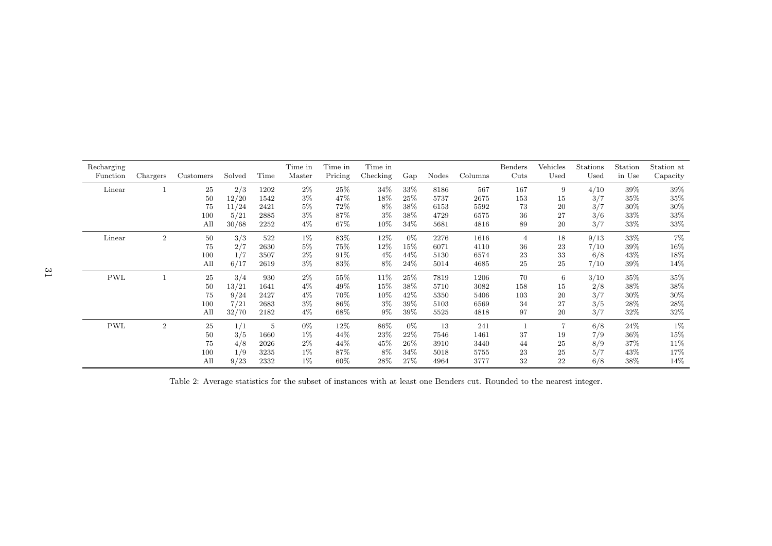<span id="page-31-0"></span>

| Recharging<br>Function | Chargers       | Customers | Solved | Time | Time in<br>Master | Time in<br>Pricing | Time in<br>Checking | Gap    | Nodes | Columns | Benders<br>Cuts | Vehicles<br>Used | Stations<br>Used | Station<br>in Use | Station at<br>Capacity |
|------------------------|----------------|-----------|--------|------|-------------------|--------------------|---------------------|--------|-------|---------|-----------------|------------------|------------------|-------------------|------------------------|
| Linear                 |                | 25        | 2/3    | 1202 | $2\%$             | 25%                | 34%                 | 33%    | 8186  | 567     | 167             | 9                | 4/10             | 39%               | 39%                    |
|                        |                | 50        | 12/20  | 1542 | $3\%$             | 47%                | 18%                 | 25%    | 5737  | 2675    | 153             | 15               | 3/7              | 35%               | 35%                    |
|                        |                | 75        | 11/24  | 2421 | $5\%$             | 72%                | 8%                  | 38%    | 6153  | 5592    | 73              | 20               | 3/7              | 30%               | $30\%$                 |
|                        |                | 100       | 5/21   | 2885 | $3\%$             | 87%                | $3\%$               | 38\%   | 4729  | 6575    | 36              | 27               | 3/6              | 33%               | 33%                    |
|                        |                | All       | 30/68  | 2252 | $4\%$             | 67%                | 10%                 | 34%    | 5681  | 4816    | 89              | 20               | 3/7              | 33%               | 33%                    |
| Linear                 | $\overline{2}$ | 50        | 3/3    | 522  | $1\%$             | 83%                | 12%                 | $0\%$  | 2276  | 1616    | 4               | 18               | 9/13             | 33%               | 7%                     |
|                        |                | 75        | 2/7    | 2630 | $5\%$             | 75%                | $12\%$              | 15%    | 6071  | 4110    | 36              | 23               | 7/10             | 39%               | $16\%$                 |
|                        |                | 100       | 1/7    | 3507 | $2\%$             | 91%                | $4\%$               | 44\%   | 5130  | 6574    | 23              | 33               | 6/8              | 43\%              | $18\%$                 |
|                        |                | All       | 6/17   | 2619 | $3\%$             | 83%                | 8%                  | 24\%   | 5014  | 4685    | 25              | 25               | 7/10             | 39%               | 14%                    |
| <b>PWL</b>             |                | 25        | 3/4    | 930  | $2\%$             | 55%                | 11\%                | 25%    | 7819  | 1206    | 70              | 6                | 3/10             | 35%               | $35\%$                 |
|                        |                | 50        | 13/21  | 1641 | $4\%$             | 49%                | 15%                 | 38\%   | 5710  | 3082    | 158             | 15               | 2/8              | 38%               | $38\%$                 |
|                        |                | 75        | 9/24   | 2427 | $4\%$             | 70%                | 10%                 | 42%    | 5350  | 5406    | 103             | 20               | 3/7              | 30%               | 30%                    |
|                        |                | 100       | 7/21   | 2683 | $3\%$             | 86%                | 3%                  | 39%    | 5103  | 6569    | 34              | 27               | 3/5              | 28%               | $28\%$                 |
|                        |                | All       | 32/70  | 2182 | $4\%$             | 68%                | $9\%$               | 39%    | 5525  | 4818    | 97              | 20               | 3/7              | 32%               | 32\%                   |
| <b>PWL</b>             | $\overline{2}$ | 25        | 1/1    | 5    | $0\%$             | 12%                | 86%                 | $0\%$  | 13    | 241     |                 | $\overline{7}$   | 6/8              | $24\%$            | $1\%$                  |
|                        |                | 50        | 3/5    | 1660 | $1\%$             | 44\%               | 23%                 | 22%    | 7546  | 1461    | 37              | 19               | 7/9              | $36\%$            | 15%                    |
|                        |                | 75        | 4/8    | 2026 | $2\%$             | 44%                | 45%                 | $26\%$ | 3910  | 3440    | 44              | 25               | 8/9              | 37%               | 11%                    |
|                        |                | 100       | 1/9    | 3235 | $1\%$             | 87%                | 8%                  | 34%    | 5018  | 5755    | 23              | 25               | 5/7              | 43\%              | 17%                    |
|                        |                | All       | 9/23   | 2332 | $1\%$             | 60%                | 28%                 | 27%    | 4964  | 3777    | 32              | 22               | 6/8              | 38%               | 14%                    |

Table 2: Average statistics for the subset of instances with at least one Benders cut. Rounded to the nearest integer.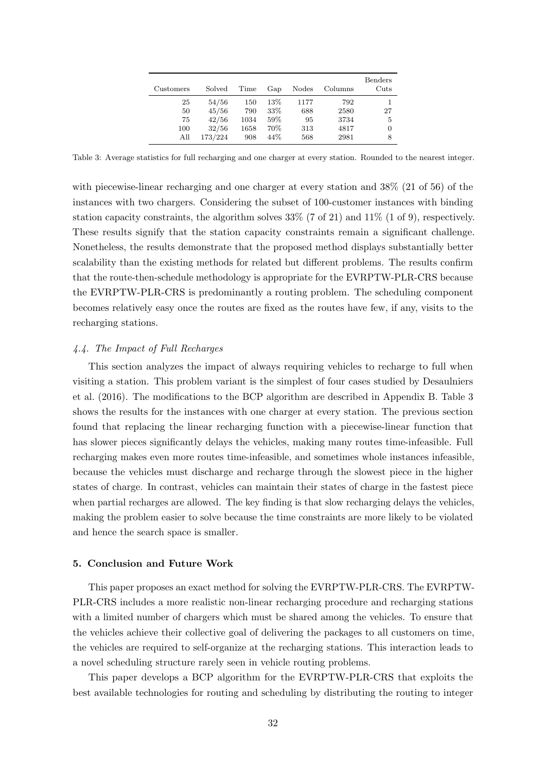<span id="page-32-1"></span>

| Customers | Solved  | Time | Gap    | Nodes | Columns | Benders<br>Cuts |
|-----------|---------|------|--------|-------|---------|-----------------|
| 25        | 54/56   | 150  | $13\%$ | 1177  | 792     |                 |
| 50        | 45/56   | 790  | 33\%   | 688   | 2580    | 27              |
| 75        | 42/56   | 1034 | 59%    | 95    | 3734    | 5               |
| 100       | 32/56   | 1658 | 70%    | 313   | 4817    | 0               |
| All       | 173/224 | 908  | 44%    | 568   | 2981    | 8               |

Table 3: Average statistics for full recharging and one charger at every station. Rounded to the nearest integer.

with piecewise-linear recharging and one charger at every station and 38% (21 of 56) of the instances with two chargers. Considering the subset of 100-customer instances with binding station capacity constraints, the algorithm solves  $33\%$  (7 of 21) and  $11\%$  (1 of 9), respectively. These results signify that the station capacity constraints remain a significant challenge. Nonetheless, the results demonstrate that the proposed method displays substantially better scalability than the existing methods for related but different problems. The results confirm that the route-then-schedule methodology is appropriate for the EVRPTW-PLR-CRS because the EVRPTW-PLR-CRS is predominantly a routing problem. The scheduling component becomes relatively easy once the routes are fixed as the routes have few, if any, visits to the recharging stations.

## 4.4. The Impact of Full Recharges

This section analyzes the impact of always requiring vehicles to recharge to full when visiting a station. This problem variant is the simplest of four cases studied by [Desaulniers](#page-36-1) [et al.](#page-36-1) [\(2016\)](#page-36-1). The modifications to the BCP algorithm are described in [Appendix B.](#page-34-0) [Table 3](#page-32-1) shows the results for the instances with one charger at every station. The previous section found that replacing the linear recharging function with a piecewise-linear function that has slower pieces significantly delays the vehicles, making many routes time-infeasible. Full recharging makes even more routes time-infeasible, and sometimes whole instances infeasible, because the vehicles must discharge and recharge through the slowest piece in the higher states of charge. In contrast, vehicles can maintain their states of charge in the fastest piece when partial recharges are allowed. The key finding is that slow recharging delays the vehicles, making the problem easier to solve because the time constraints are more likely to be violated and hence the search space is smaller.

## <span id="page-32-0"></span>5. Conclusion and Future Work

This paper proposes an exact method for solving the EVRPTW-PLR-CRS. The EVRPTW-PLR-CRS includes a more realistic non-linear recharging procedure and recharging stations with a limited number of chargers which must be shared among the vehicles. To ensure that the vehicles achieve their collective goal of delivering the packages to all customers on time, the vehicles are required to self-organize at the recharging stations. This interaction leads to a novel scheduling structure rarely seen in vehicle routing problems.

This paper develops a BCP algorithm for the EVRPTW-PLR-CRS that exploits the best available technologies for routing and scheduling by distributing the routing to integer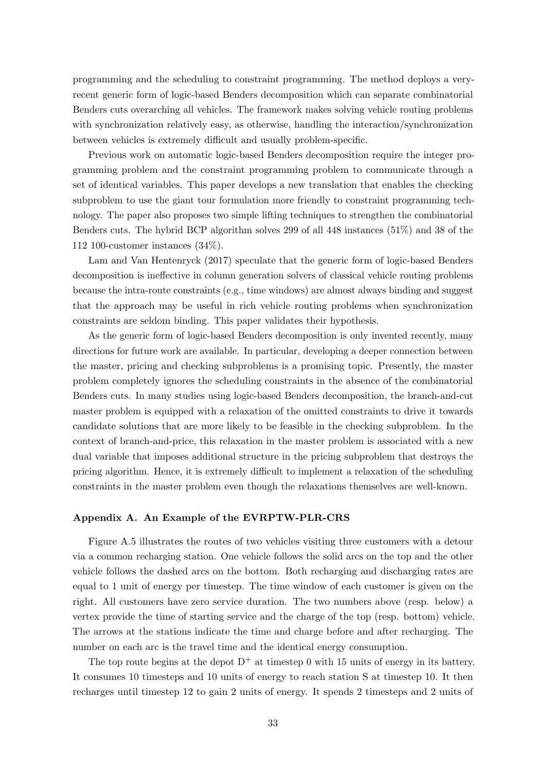programming and the scheduling to constraint programming. The method deploys a veryrecent generic form of logic-based Benders decomposition which can separate combinatorial Benders cuts overarching all vehicles. The framework makes solving vehicle routing problems with synchronization relatively easy, as otherwise, handling the interaction/synchronization between vehicles is extremely difficult and usually problem-specific.

Previous work on automatic logic-based Benders decomposition require the integer programming problem and the constraint programming problem to communicate through a set of identical variables. This paper develops a new translation that enables the checking subproblem to use the giant tour formulation more friendly to constraint programming technology. The paper also proposes two simple lifting techniques to strengthen the combinatorial Benders cuts. The hybrid BCP algorithm solves 299 of all 448 instances (51%) and 38 of the 112 100-customer instances (34%).

[Lam and Van Hentenryck](#page-38-4) [\(2017\)](#page-38-4) speculate that the generic form of logic-based Benders decomposition is ineffective in column generation solvers of classical vehicle routing problems because the intra-route constraints (e.g., time windows) are almost always binding and suggest that the approach may be useful in rich vehicle routing problems when synchronization constraints are seldom binding. This paper validates their hypothesis.

As the generic form of logic-based Benders decomposition is only invented recently, many directions for future work are available. In particular, developing a deeper connection between the master, pricing and checking subproblems is a promising topic. Presently, the master problem completely ignores the scheduling constraints in the absence of the combinatorial Benders cuts. In many studies using logic-based Benders decomposition, the branch-and-cut master problem is equipped with a relaxation of the omitted constraints to drive it towards candidate solutions that are more likely to be feasible in the checking subproblem. In the context of branch-and-price, this relaxation in the master problem is associated with a new dual variable that imposes additional structure in the pricing subproblem that destroys the pricing algorithm. Hence, it is extremely difficult to implement a relaxation of the scheduling constraints in the master problem even though the relaxations themselves are well-known.

## <span id="page-33-0"></span>Appendix A. An Example of the EVRPTW-PLR-CRS

[Figure A.5](#page-34-1) illustrates the routes of two vehicles visiting three customers with a detour via a common recharging station. One vehicle follows the solid arcs on the top and the other vehicle follows the dashed arcs on the bottom. Both recharging and discharging rates are equal to 1 unit of energy per timestep. The time window of each customer is given on the right. All customers have zero service duration. The two numbers above (resp. below) a vertex provide the time of starting service and the charge of the top (resp. bottom) vehicle. The arrows at the stations indicate the time and charge before and after recharging. The number on each arc is the travel time and the identical energy consumption.

The top route begins at the depot  $D^+$  at timestep 0 with 15 units of energy in its battery. It consumes 10 timesteps and 10 units of energy to reach station S at timestep 10. It then recharges until timestep 12 to gain 2 units of energy. It spends 2 timesteps and 2 units of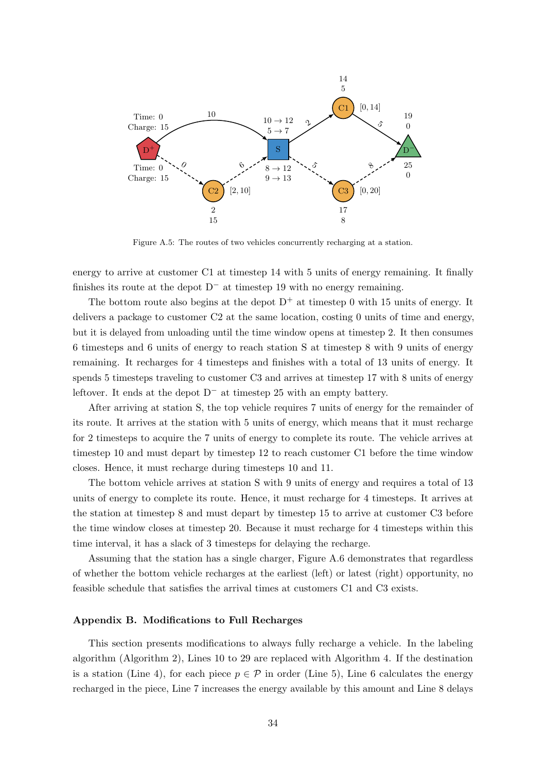<span id="page-34-1"></span>

Figure A.5: The routes of two vehicles concurrently recharging at a station.

energy to arrive at customer C1 at timestep 14 with 5 units of energy remaining. It finally finishes its route at the depot  $D^-$  at timestep 19 with no energy remaining.

The bottom route also begins at the depot  $D^+$  at timestep 0 with 15 units of energy. It delivers a package to customer C2 at the same location, costing 0 units of time and energy, but it is delayed from unloading until the time window opens at timestep 2. It then consumes 6 timesteps and 6 units of energy to reach station S at timestep 8 with 9 units of energy remaining. It recharges for 4 timesteps and finishes with a total of 13 units of energy. It spends 5 timesteps traveling to customer C3 and arrives at timestep 17 with 8 units of energy leftover. It ends at the depot  $D^-$  at timestep 25 with an empty battery.

After arriving at station S, the top vehicle requires 7 units of energy for the remainder of its route. It arrives at the station with 5 units of energy, which means that it must recharge for 2 timesteps to acquire the 7 units of energy to complete its route. The vehicle arrives at timestep 10 and must depart by timestep 12 to reach customer C1 before the time window closes. Hence, it must recharge during timesteps 10 and 11.

The bottom vehicle arrives at station S with 9 units of energy and requires a total of 13 units of energy to complete its route. Hence, it must recharge for 4 timesteps. It arrives at the station at timestep 8 and must depart by timestep 15 to arrive at customer C3 before the time window closes at timestep 20. Because it must recharge for 4 timesteps within this time interval, it has a slack of 3 timesteps for delaying the recharge.

Assuming that the station has a single charger, [Figure A.6](#page-35-3) demonstrates that regardless of whether the bottom vehicle recharges at the earliest (left) or latest (right) opportunity, no feasible schedule that satisfies the arrival times at customers C1 and C3 exists.

## <span id="page-34-0"></span>Appendix B. Modifications to Full Recharges

This section presents modifications to always fully recharge a vehicle. In the labeling algorithm [\(Algorithm 2\)](#page-15-0), [Lines 10](#page-10-22) to [29](#page-15-3) are replaced with [Algorithm 4.](#page-35-4) If the destination is a station [\(Line 4\)](#page-10-4), for each piece  $p \in \mathcal{P}$  in order [\(Line 5\)](#page-10-5), [Line 6](#page-10-20) calculates the energy recharged in the piece, [Line 7](#page-10-6) increases the energy available by this amount and [Line 8](#page-10-21) delays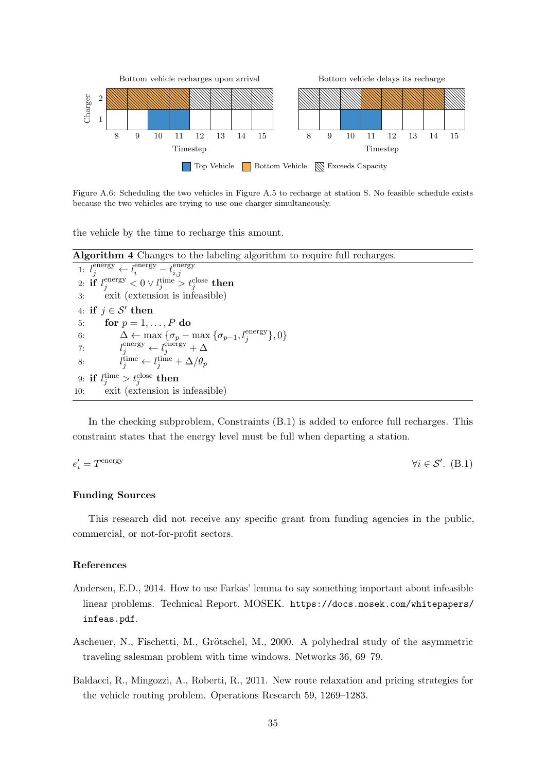<span id="page-35-3"></span>

Figure A.6: Scheduling the two vehicles in [Figure A.5](#page-34-1) to recharge at station S. No feasible schedule exists because the two vehicles are trying to use one charger simultaneously.

the vehicle by the time to recharge this amount.

<span id="page-35-4"></span>Algorithm 4 Changes to the labeling algorithm to require full recharges. 1:  $l_j^{\text{energy}} \leftarrow l_i^{\text{energy}} - t_{i,j}^{\text{energy}}$ i,j  $\text{2: if } l^{\text{energy}}_j < 0 \lor l^{\text{time}}_j > t^{\text{close}}_j \text{ then}$ 3: exit (extension is infeasible) 4: if  $j \in \mathcal{S}'$  then 5: for  $p = 1, \ldots, P$  do 6:  $\Delta \leftarrow \max_{\{ \sigma_p - \max_{j} \} \{ \sigma_{p-1}, l_j^{\text{energy}} \}, 0 \}$ <br>7:  $l_j^{\text{energy}} \leftarrow l_j^{\text{energy}} + \Delta$  $7:$ 8:  $t_j^{\text{time}} \leftarrow t_j^{\text{time}} + \Delta/\theta_p$ 9: if  $l_j^{\mathrm{time}}>t_j^{\mathrm{close}}$  then 10: exit (extension is infeasible)

In the checking subproblem, Constraints  $(B.1)$  is added to enforce full recharges. This constraint states that the energy level must be full when departing a station.

<span id="page-35-5"></span>
$$
e_i' = T^{\text{energy}} \qquad \qquad \forall i \in \mathcal{S}'. \tag{B.1}
$$

# Funding Sources

This research did not receive any specific grant from funding agencies in the public, commercial, or not-for-profit sectors.

# References

- <span id="page-35-0"></span>Andersen, E.D., 2014. How to use Farkas' lemma to say something important about infeasible linear problems. Technical Report. MOSEK. [https://docs.mosek.com/whitepapers/](https://docs.mosek.com/whitepapers/infeas.pdf) [infeas.pdf](https://docs.mosek.com/whitepapers/infeas.pdf).
- <span id="page-35-1"></span>Ascheuer, N., Fischetti, M., Grötschel, M., 2000. A polyhedral study of the asymmetric traveling salesman problem with time windows. Networks 36, 69–79.
- <span id="page-35-2"></span>Baldacci, R., Mingozzi, A., Roberti, R., 2011. New route relaxation and pricing strategies for the vehicle routing problem. Operations Research 59, 1269–1283.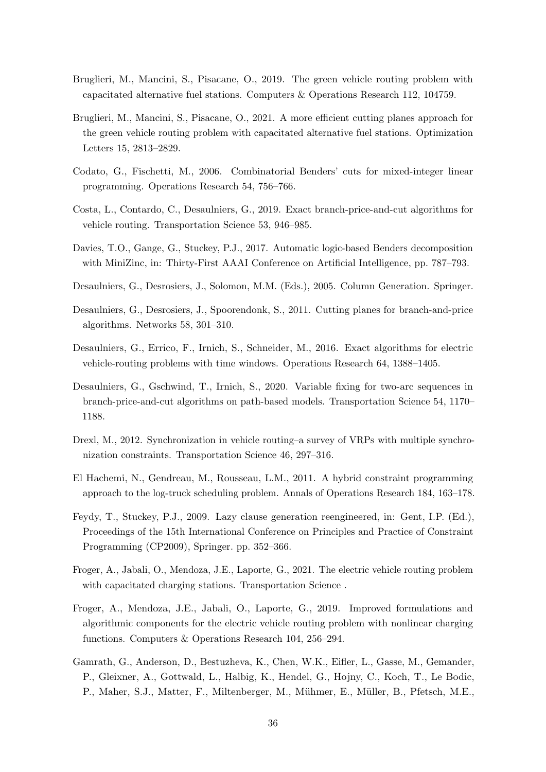- <span id="page-36-8"></span>Bruglieri, M., Mancini, S., Pisacane, O., 2019. The green vehicle routing problem with capacitated alternative fuel stations. Computers & Operations Research 112, 104759.
- <span id="page-36-9"></span>Bruglieri, M., Mancini, S., Pisacane, O., 2021. A more efficient cutting planes approach for the green vehicle routing problem with capacitated alternative fuel stations. Optimization Letters 15, 2813–2829.
- <span id="page-36-5"></span>Codato, G., Fischetti, M., 2006. Combinatorial Benders' cuts for mixed-integer linear programming. Operations Research 54, 756–766.
- <span id="page-36-0"></span>Costa, L., Contardo, C., Desaulniers, G., 2019. Exact branch-price-and-cut algorithms for vehicle routing. Transportation Science 53, 946–985.
- <span id="page-36-4"></span>Davies, T.O., Gange, G., Stuckey, P.J., 2017. Automatic logic-based Benders decomposition with MiniZinc, in: Thirty-First AAAI Conference on Artificial Intelligence, pp. 787–793.
- <span id="page-36-3"></span>Desaulniers, G., Desrosiers, J., Solomon, M.M. (Eds.), 2005. Column Generation. Springer.
- <span id="page-36-13"></span>Desaulniers, G., Desrosiers, J., Spoorendonk, S., 2011. Cutting planes for branch-and-price algorithms. Networks 58, 301–310.
- <span id="page-36-1"></span>Desaulniers, G., Errico, F., Irnich, S., Schneider, M., 2016. Exact algorithms for electric vehicle-routing problems with time windows. Operations Research 64, 1388–1405.
- <span id="page-36-2"></span>Desaulniers, G., Gschwind, T., Irnich, S., 2020. Variable fixing for two-arc sequences in branch-price-and-cut algorithms on path-based models. Transportation Science 54, 1170– 1188.
- <span id="page-36-11"></span>Drexl, M., 2012. Synchronization in vehicle routing–a survey of VRPs with multiple synchronization constraints. Transportation Science 46, 297–316.
- <span id="page-36-12"></span>El Hachemi, N., Gendreau, M., Rousseau, L.M., 2011. A hybrid constraint programming approach to the log-truck scheduling problem. Annals of Operations Research 184, 163–178.
- <span id="page-36-6"></span>Feydy, T., Stuckey, P.J., 2009. Lazy clause generation reengineered, in: Gent, I.P. (Ed.), Proceedings of the 15th International Conference on Principles and Practice of Constraint Programming (CP2009), Springer. pp. 352–366.
- <span id="page-36-10"></span>Froger, A., Jabali, O., Mendoza, J.E., Laporte, G., 2021. The electric vehicle routing problem with capacitated charging stations. Transportation Science.
- <span id="page-36-7"></span>Froger, A., Mendoza, J.E., Jabali, O., Laporte, G., 2019. Improved formulations and algorithmic components for the electric vehicle routing problem with nonlinear charging functions. Computers & Operations Research 104, 256–294.
- <span id="page-36-14"></span>Gamrath, G., Anderson, D., Bestuzheva, K., Chen, W.K., Eifler, L., Gasse, M., Gemander, P., Gleixner, A., Gottwald, L., Halbig, K., Hendel, G., Hojny, C., Koch, T., Le Bodic, P., Maher, S.J., Matter, F., Miltenberger, M., Mühmer, E., Müller, B., Pfetsch, M.E.,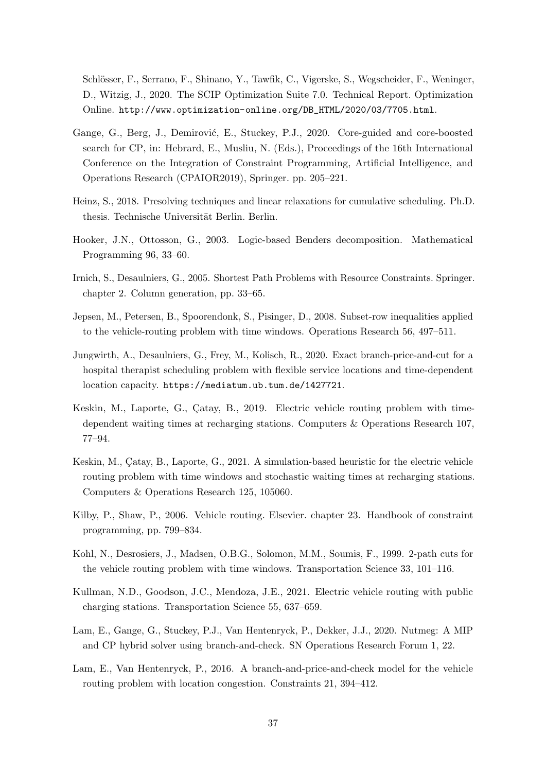Schlösser, F., Serrano, F., Shinano, Y., Tawfik, C., Vigerske, S., Wegscheider, F., Weninger. D., Witzig, J., 2020. The SCIP Optimization Suite 7.0. Technical Report. Optimization Online. [http://www.optimization-online.org/DB\\_HTML/2020/03/7705.html](http://www.optimization-online.org/DB_HTML/2020/03/7705.html).

- <span id="page-37-12"></span>Gange, G., Berg, J., Demirović, E., Stuckey, P.J., 2020. Core-guided and core-boosted search for CP, in: Hebrard, E., Musliu, N. (Eds.), Proceedings of the 16th International Conference on the Integration of Constraint Programming, Artificial Intelligence, and Operations Research (CPAIOR2019), Springer. pp. 205–221.
- <span id="page-37-0"></span>Heinz, S., 2018. Presolving techniques and linear relaxations for cumulative scheduling. Ph.D. thesis. Technische Universität Berlin. Berlin.
- <span id="page-37-2"></span>Hooker, J.N., Ottosson, G., 2003. Logic-based Benders decomposition. Mathematical Programming 96, 33–60.
- <span id="page-37-8"></span>Irnich, S., Desaulniers, G., 2005. Shortest Path Problems with Resource Constraints. Springer. chapter 2. Column generation, pp. 33–65.
- <span id="page-37-11"></span>Jepsen, M., Petersen, B., Spoorendonk, S., Pisinger, D., 2008. Subset-row inequalities applied to the vehicle-routing problem with time windows. Operations Research 56, 497–511.
- <span id="page-37-7"></span>Jungwirth, A., Desaulniers, G., Frey, M., Kolisch, R., 2020. Exact branch-price-and-cut for a hospital therapist scheduling problem with flexible service locations and time-dependent location capacity. <https://mediatum.ub.tum.de/1427721>.
- <span id="page-37-5"></span>Keskin, M., Laporte, G., Çatay, B., 2019. Electric vehicle routing problem with timedependent waiting times at recharging stations. Computers & Operations Research 107, 77–94.
- <span id="page-37-4"></span>Keskin, M., Çatay, B., Laporte, G., 2021. A simulation-based heuristic for the electric vehicle routing problem with time windows and stochastic waiting times at recharging stations. Computers & Operations Research 125, 105060.
- <span id="page-37-9"></span>Kilby, P., Shaw, P., 2006. Vehicle routing. Elsevier. chapter 23. Handbook of constraint programming, pp. 799–834.
- <span id="page-37-10"></span>Kohl, N., Desrosiers, J., Madsen, O.B.G., Solomon, M.M., Soumis, F., 1999. 2-path cuts for the vehicle routing problem with time windows. Transportation Science 33, 101–116.
- <span id="page-37-3"></span>Kullman, N.D., Goodson, J.C., Mendoza, J.E., 2021. Electric vehicle routing with public charging stations. Transportation Science 55, 637–659.
- <span id="page-37-1"></span>Lam, E., Gange, G., Stuckey, P.J., Van Hentenryck, P., Dekker, J.J., 2020. Nutmeg: A MIP and CP hybrid solver using branch-and-check. SN Operations Research Forum 1, 22.
- <span id="page-37-6"></span>Lam, E., Van Hentenryck, P., 2016. A branch-and-price-and-check model for the vehicle routing problem with location congestion. Constraints 21, 394–412.